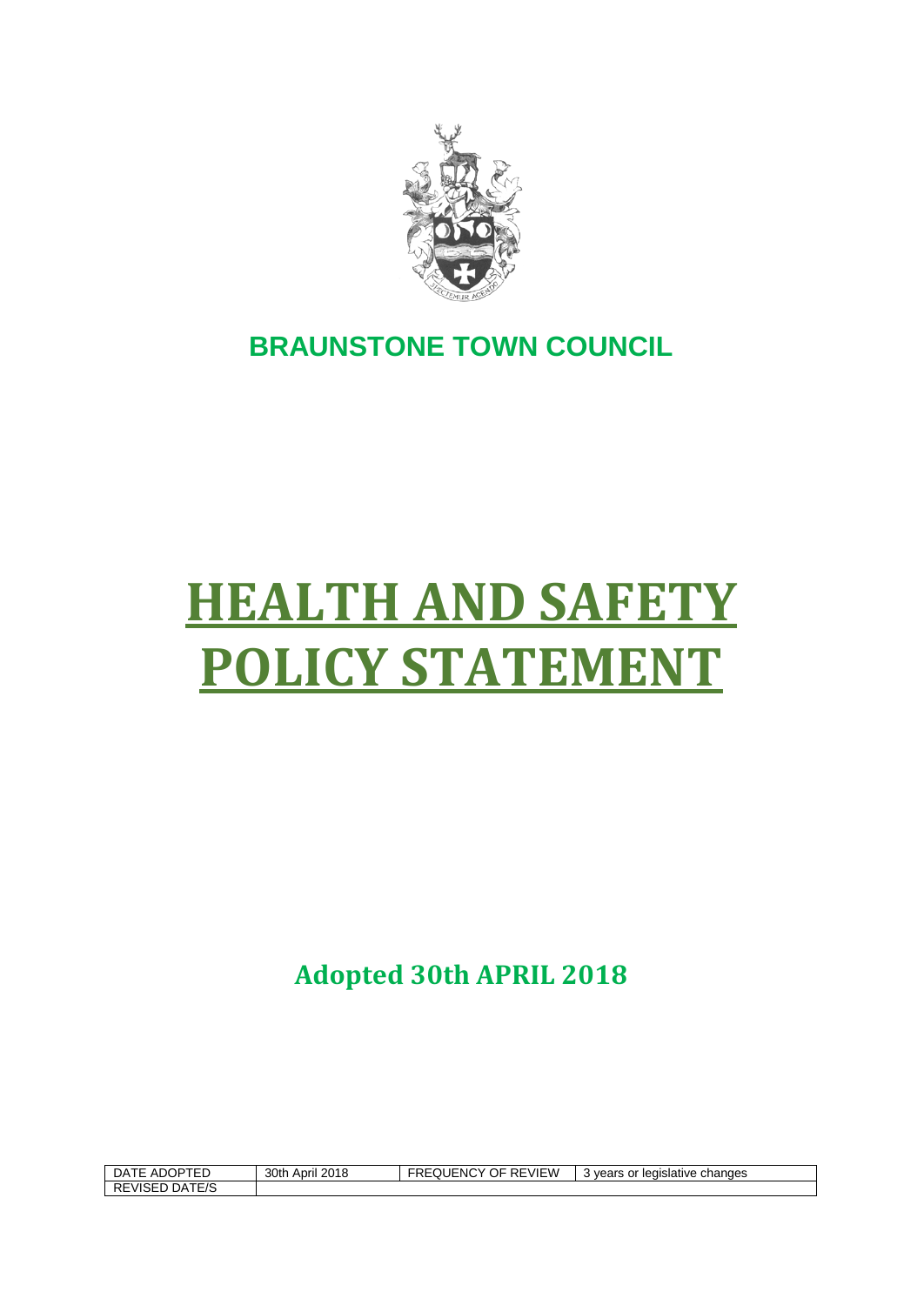

# **BRAUNSTONE TOWN COUNCIL**

# **HEALTH AND SAFETY POLICY STATEMENT**

**Adopted 30th APRIL 2018**

| DATE ADOPTED   | 30th April 2018 | REVIEW<br><b>FREQUENCY (</b><br>OF. | ' vears or legislative changes<br>v |
|----------------|-----------------|-------------------------------------|-------------------------------------|
| REVISED DATE/S |                 |                                     |                                     |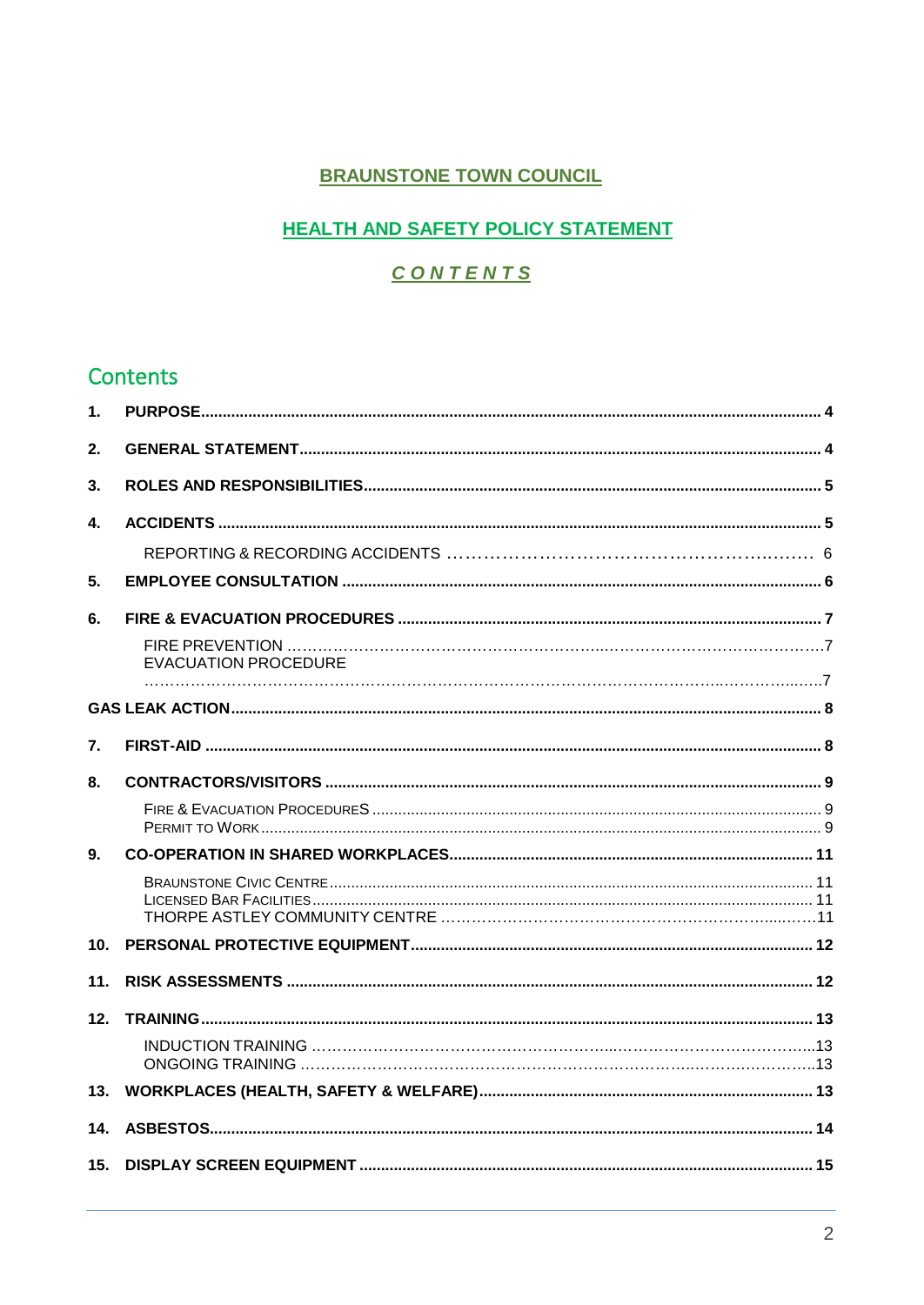## **BRAUNSTONE TOWN COUNCIL**

## **HEALTH AND SAFETY POLICY STATEMENT**

# CONTENTS

# Contents

| 1.              |                      |  |
|-----------------|----------------------|--|
| 2.              |                      |  |
| 3.              |                      |  |
| 4.              |                      |  |
|                 |                      |  |
| 5.              |                      |  |
| 6.              |                      |  |
|                 | EVACUATION PROCEDURE |  |
|                 |                      |  |
| 7.              |                      |  |
| 8.              |                      |  |
|                 |                      |  |
| 9.              |                      |  |
|                 |                      |  |
| 10 <sub>1</sub> |                      |  |
| 11.             |                      |  |
| 12.             |                      |  |
|                 |                      |  |
| 13.             |                      |  |
| 14.             |                      |  |
| 15.             |                      |  |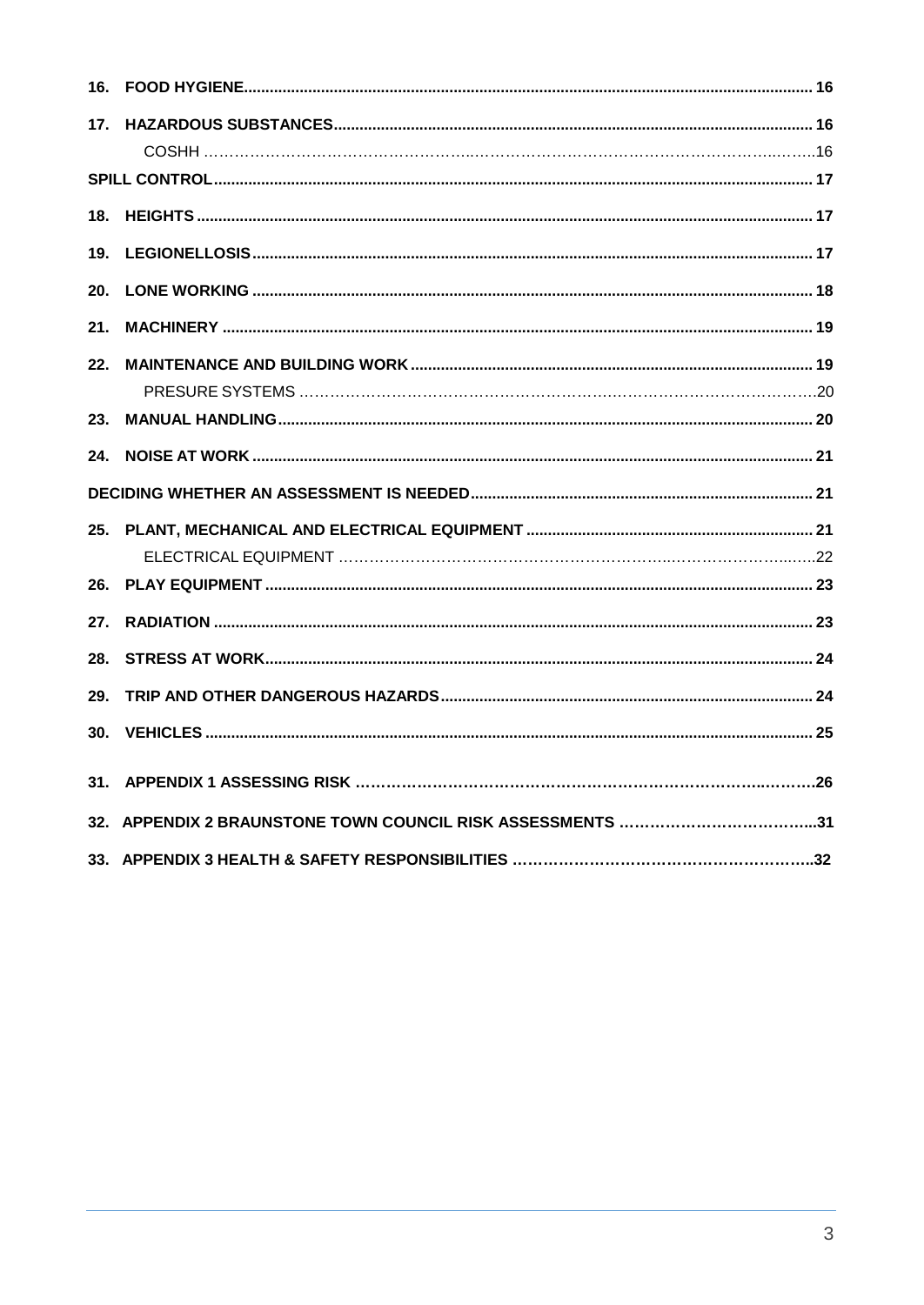| 16.             |  |
|-----------------|--|
| 17 <sub>1</sub> |  |
|                 |  |
| 18.             |  |
| 19.             |  |
| 20.             |  |
| 21.             |  |
| 22.             |  |
|                 |  |
| 23.             |  |
| 24.             |  |
|                 |  |
| 25.             |  |
|                 |  |
| 26.             |  |
| 27.             |  |
| 28.             |  |
| 29.             |  |
| 30.             |  |
|                 |  |
|                 |  |
|                 |  |
|                 |  |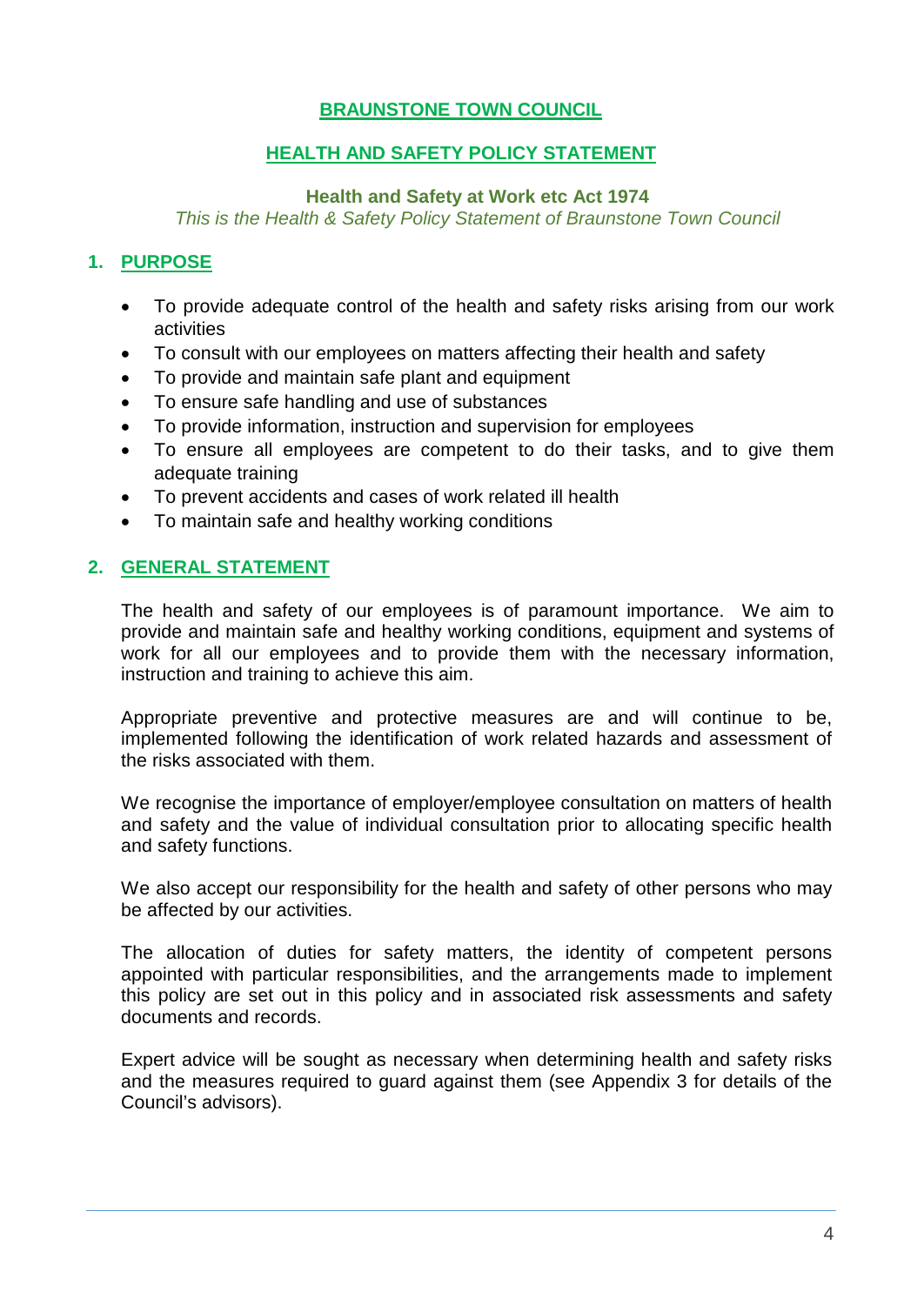## **BRAUNSTONE TOWN COUNCIL**

## **HEALTH AND SAFETY POLICY STATEMENT**

#### **Health and Safety at Work etc Act 1974**

*This is the Health & Safety Policy Statement of Braunstone Town Council*

## <span id="page-3-0"></span>**1. PURPOSE**

- To provide adequate control of the health and safety risks arising from our work activities
- To consult with our employees on matters affecting their health and safety
- To provide and maintain safe plant and equipment
- To ensure safe handling and use of substances
- To provide information, instruction and supervision for employees
- To ensure all employees are competent to do their tasks, and to give them adequate training
- To prevent accidents and cases of work related ill health
- To maintain safe and healthy working conditions

## <span id="page-3-1"></span>**2. GENERAL STATEMENT**

The health and safety of our employees is of paramount importance. We aim to provide and maintain safe and healthy working conditions, equipment and systems of work for all our employees and to provide them with the necessary information, instruction and training to achieve this aim.

Appropriate preventive and protective measures are and will continue to be, implemented following the identification of work related hazards and assessment of the risks associated with them.

We recognise the importance of employer/employee consultation on matters of health and safety and the value of individual consultation prior to allocating specific health and safety functions.

We also accept our responsibility for the health and safety of other persons who may be affected by our activities.

The allocation of duties for safety matters, the identity of competent persons appointed with particular responsibilities, and the arrangements made to implement this policy are set out in this policy and in associated risk assessments and safety documents and records.

Expert advice will be sought as necessary when determining health and safety risks and the measures required to guard against them (see Appendix 3 for details of the Council's advisors).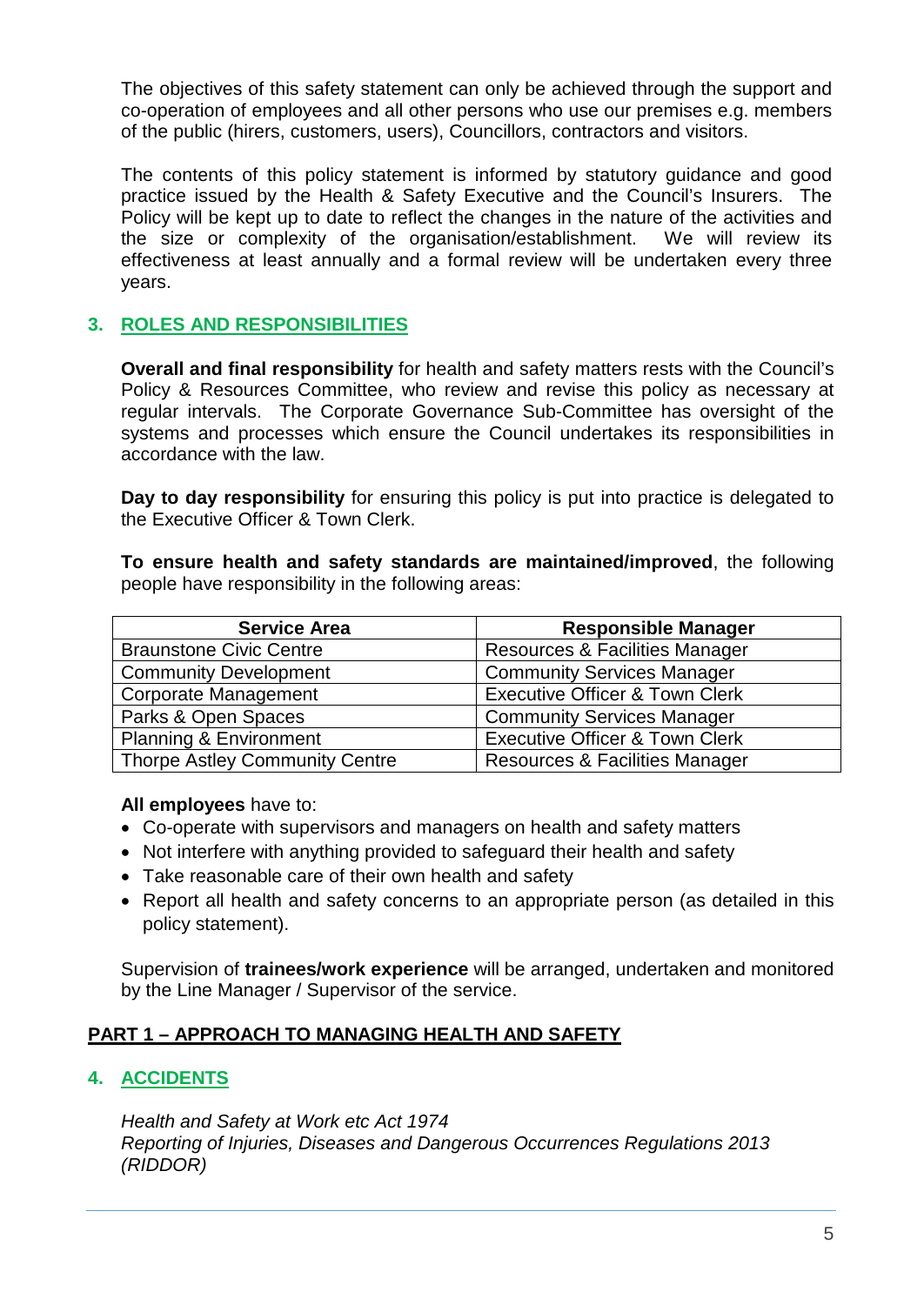The objectives of this safety statement can only be achieved through the support and co-operation of employees and all other persons who use our premises e.g. members of the public (hirers, customers, users), Councillors, contractors and visitors.

The contents of this policy statement is informed by statutory guidance and good practice issued by the Health & Safety Executive and the Council's Insurers. The Policy will be kept up to date to reflect the changes in the nature of the activities and the size or complexity of the organisation/establishment. We will review its effectiveness at least annually and a formal review will be undertaken every three years.

## <span id="page-4-0"></span>**3. ROLES AND RESPONSIBILITIES**

**Overall and final responsibility** for health and safety matters rests with the Council's Policy & Resources Committee, who review and revise this policy as necessary at regular intervals. The Corporate Governance Sub-Committee has oversight of the systems and processes which ensure the Council undertakes its responsibilities in accordance with the law.

**Day to day responsibility** for ensuring this policy is put into practice is delegated to the Executive Officer & Town Clerk.

**To ensure health and safety standards are maintained/improved**, the following people have responsibility in the following areas:

| <b>Service Area</b>                   | <b>Responsible Manager</b>                |  |
|---------------------------------------|-------------------------------------------|--|
| <b>Braunstone Civic Centre</b>        | <b>Resources &amp; Facilities Manager</b> |  |
| <b>Community Development</b>          | <b>Community Services Manager</b>         |  |
| <b>Corporate Management</b>           | <b>Executive Officer &amp; Town Clerk</b> |  |
| Parks & Open Spaces                   | <b>Community Services Manager</b>         |  |
| <b>Planning &amp; Environment</b>     | <b>Executive Officer &amp; Town Clerk</b> |  |
| <b>Thorpe Astley Community Centre</b> | <b>Resources &amp; Facilities Manager</b> |  |

#### **All employees** have to:

- Co-operate with supervisors and managers on health and safety matters
- Not interfere with anything provided to safeguard their health and safety
- Take reasonable care of their own health and safety
- Report all health and safety concerns to an appropriate person (as detailed in this policy statement).

Supervision of **trainees/work experience** will be arranged, undertaken and monitored by the Line Manager / Supervisor of the service.

## **PART 1 – APPROACH TO MANAGING HEALTH AND SAFETY**

## <span id="page-4-1"></span>**4. ACCIDENTS**

*Health and Safety at Work etc Act 1974 Reporting of Injuries, Diseases and Dangerous Occurrences Regulations 2013 (RIDDOR)*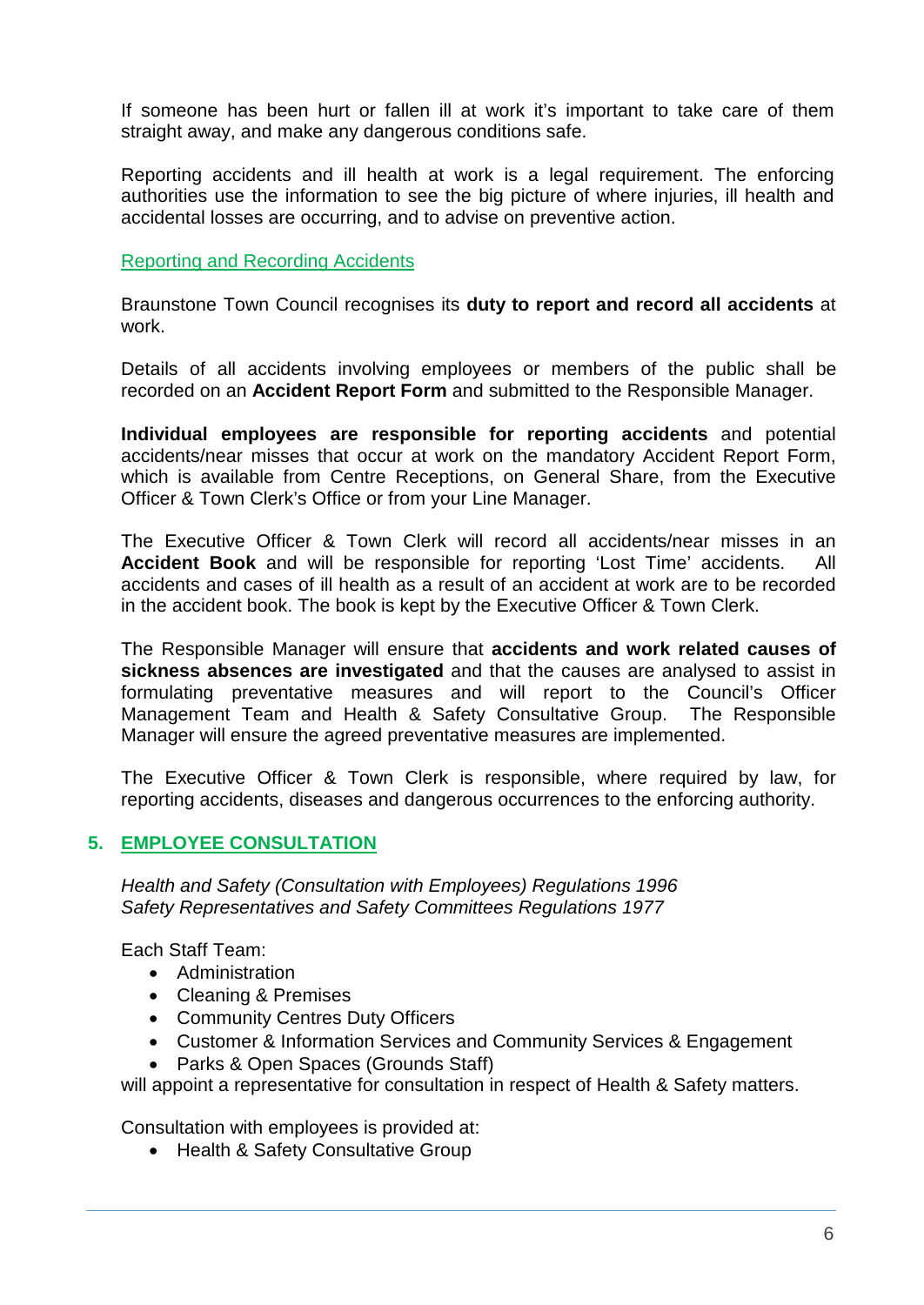If someone has been hurt or fallen ill at work it's important to take care of them straight away, and make any dangerous conditions safe.

Reporting accidents and ill health at work is a legal requirement. The enforcing authorities use the information to see the big picture of where injuries, ill health and accidental losses are occurring, and to advise on preventive action.

#### Reporting and Recording Accidents

Braunstone Town Council recognises its **duty to report and record all accidents** at work.

Details of all accidents involving employees or members of the public shall be recorded on an **Accident Report Form** and submitted to the Responsible Manager.

**Individual employees are responsible for reporting accidents** and potential accidents/near misses that occur at work on the mandatory Accident Report Form, which is available from Centre Receptions, on General Share, from the Executive Officer & Town Clerk's Office or from your Line Manager.

The Executive Officer & Town Clerk will record all accidents/near misses in an **Accident Book** and will be responsible for reporting 'Lost Time' accidents. All accidents and cases of ill health as a result of an accident at work are to be recorded in the accident book. The book is kept by the Executive Officer & Town Clerk.

The Responsible Manager will ensure that **accidents and work related causes of sickness absences are investigated** and that the causes are analysed to assist in formulating preventative measures and will report to the Council's Officer Management Team and Health & Safety Consultative Group. The Responsible Manager will ensure the agreed preventative measures are implemented.

The Executive Officer & Town Clerk is responsible, where required by law, for reporting accidents, diseases and dangerous occurrences to the enforcing authority.

## <span id="page-5-0"></span>**5. EMPLOYEE CONSULTATION**

*Health and Safety (Consultation with Employees) Regulations 1996 Safety Representatives and Safety Committees Regulations 1977*

Each Staff Team:

- Administration
- Cleaning & Premises
- Community Centres Duty Officers
- Customer & Information Services and Community Services & Engagement
- Parks & Open Spaces (Grounds Staff)

will appoint a representative for consultation in respect of Health & Safety matters.

Consultation with employees is provided at:

• Health & Safety Consultative Group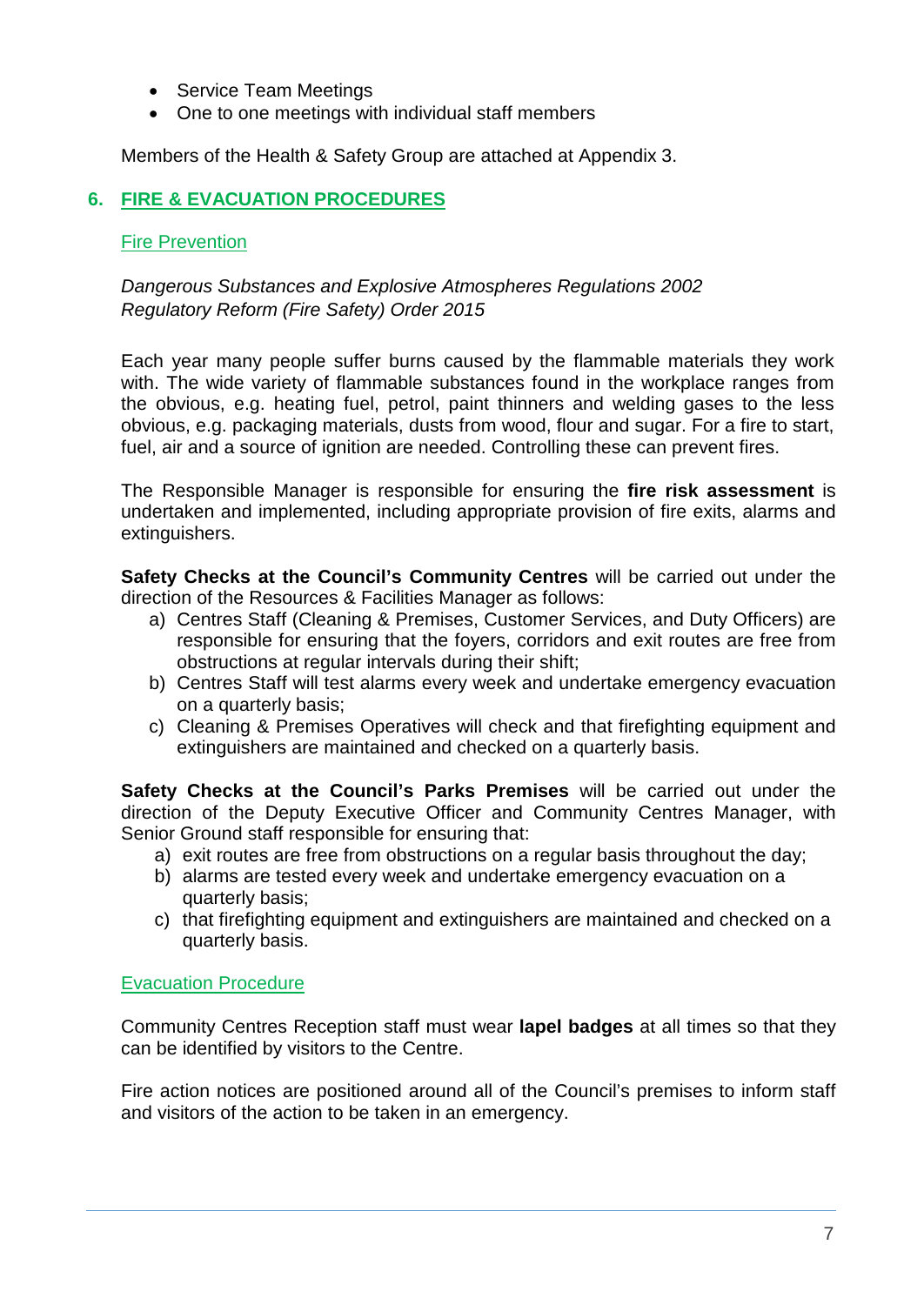- Service Team Meetings
- One to one meetings with individual staff members

Members of the Health & Safety Group are attached at Appendix 3.

## <span id="page-6-0"></span>**6. FIRE & EVACUATION PROCEDURES**

#### **Fire Prevention**

## *Dangerous Substances and Explosive Atmospheres Regulations 2002 Regulatory Reform (Fire Safety) Order 2015*

Each year many people suffer burns caused by the flammable materials they work with. The wide variety of flammable substances found in the workplace ranges from the obvious, e.g. heating fuel, petrol, paint thinners and welding gases to the less obvious, e.g. packaging materials, dusts from wood, flour and sugar. For a fire to start, fuel, air and a source of ignition are needed. Controlling these can prevent fires.

The Responsible Manager is responsible for ensuring the **fire risk assessment** is undertaken and implemented, including appropriate provision of fire exits, alarms and extinguishers.

**Safety Checks at the Council's Community Centres** will be carried out under the direction of the Resources & Facilities Manager as follows:

- a) Centres Staff (Cleaning & Premises, Customer Services, and Duty Officers) are responsible for ensuring that the foyers, corridors and exit routes are free from obstructions at regular intervals during their shift;
- b) Centres Staff will test alarms every week and undertake emergency evacuation on a quarterly basis;
- c) Cleaning & Premises Operatives will check and that firefighting equipment and extinguishers are maintained and checked on a quarterly basis.

**Safety Checks at the Council's Parks Premises** will be carried out under the direction of the Deputy Executive Officer and Community Centres Manager, with Senior Ground staff responsible for ensuring that:

- a) exit routes are free from obstructions on a regular basis throughout the day;
- b) alarms are tested every week and undertake emergency evacuation on a quarterly basis;
- c) that firefighting equipment and extinguishers are maintained and checked on a quarterly basis.

#### Evacuation Procedure

Community Centres Reception staff must wear **lapel badges** at all times so that they can be identified by visitors to the Centre.

Fire action notices are positioned around all of the Council's premises to inform staff and visitors of the action to be taken in an emergency.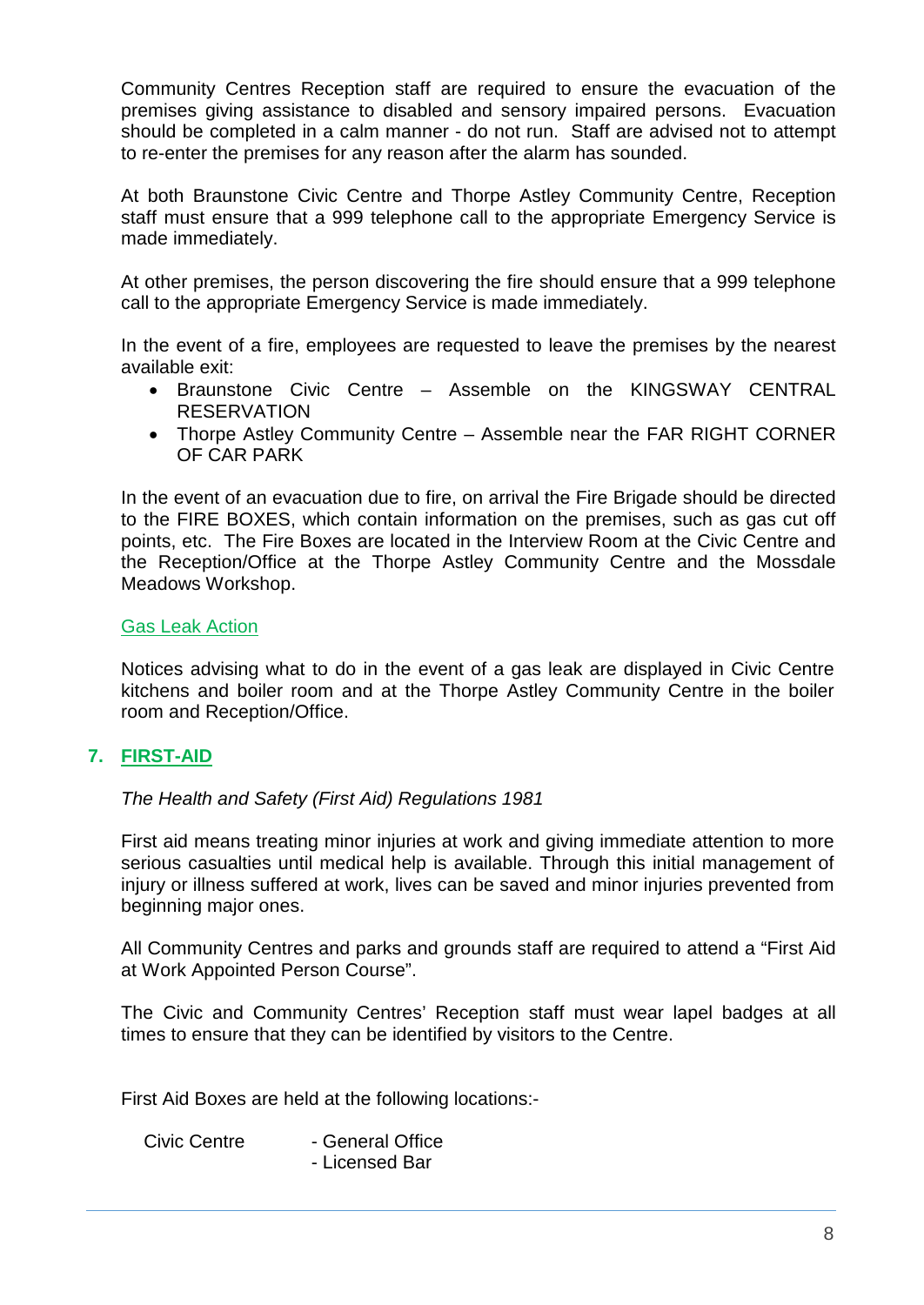Community Centres Reception staff are required to ensure the evacuation of the premises giving assistance to disabled and sensory impaired persons. Evacuation should be completed in a calm manner - do not run. Staff are advised not to attempt to re-enter the premises for any reason after the alarm has sounded.

At both Braunstone Civic Centre and Thorpe Astley Community Centre, Reception staff must ensure that a 999 telephone call to the appropriate Emergency Service is made immediately.

At other premises, the person discovering the fire should ensure that a 999 telephone call to the appropriate Emergency Service is made immediately.

In the event of a fire, employees are requested to leave the premises by the nearest available exit:

- Braunstone Civic Centre Assemble on the KINGSWAY CENTRAL **RESERVATION**
- Thorpe Astley Community Centre Assemble near the FAR RIGHT CORNER OF CAR PARK

In the event of an evacuation due to fire, on arrival the Fire Brigade should be directed to the FIRE BOXES, which contain information on the premises, such as gas cut off points, etc. The Fire Boxes are located in the Interview Room at the Civic Centre and the Reception/Office at the Thorpe Astley Community Centre and the Mossdale Meadows Workshop.

#### <span id="page-7-0"></span>Gas Leak Action

Notices advising what to do in the event of a gas leak are displayed in Civic Centre kitchens and boiler room and at the Thorpe Astley Community Centre in the boiler room and Reception/Office.

#### <span id="page-7-1"></span>**7. FIRST-AID**

*The Health and Safety (First Aid) Regulations 1981*

First aid means treating minor injuries at work and giving immediate attention to more serious casualties until medical help is available. Through this initial management of injury or illness suffered at work, lives can be saved and minor injuries prevented from beginning major ones.

All Community Centres and parks and grounds staff are required to attend a "First Aid at Work Appointed Person Course".

The Civic and Community Centres' Reception staff must wear lapel badges at all times to ensure that they can be identified by visitors to the Centre.

First Aid Boxes are held at the following locations:-

| <b>Civic Centre</b> | - General Office |  |  |
|---------------------|------------------|--|--|
|                     | - Licensed Bar   |  |  |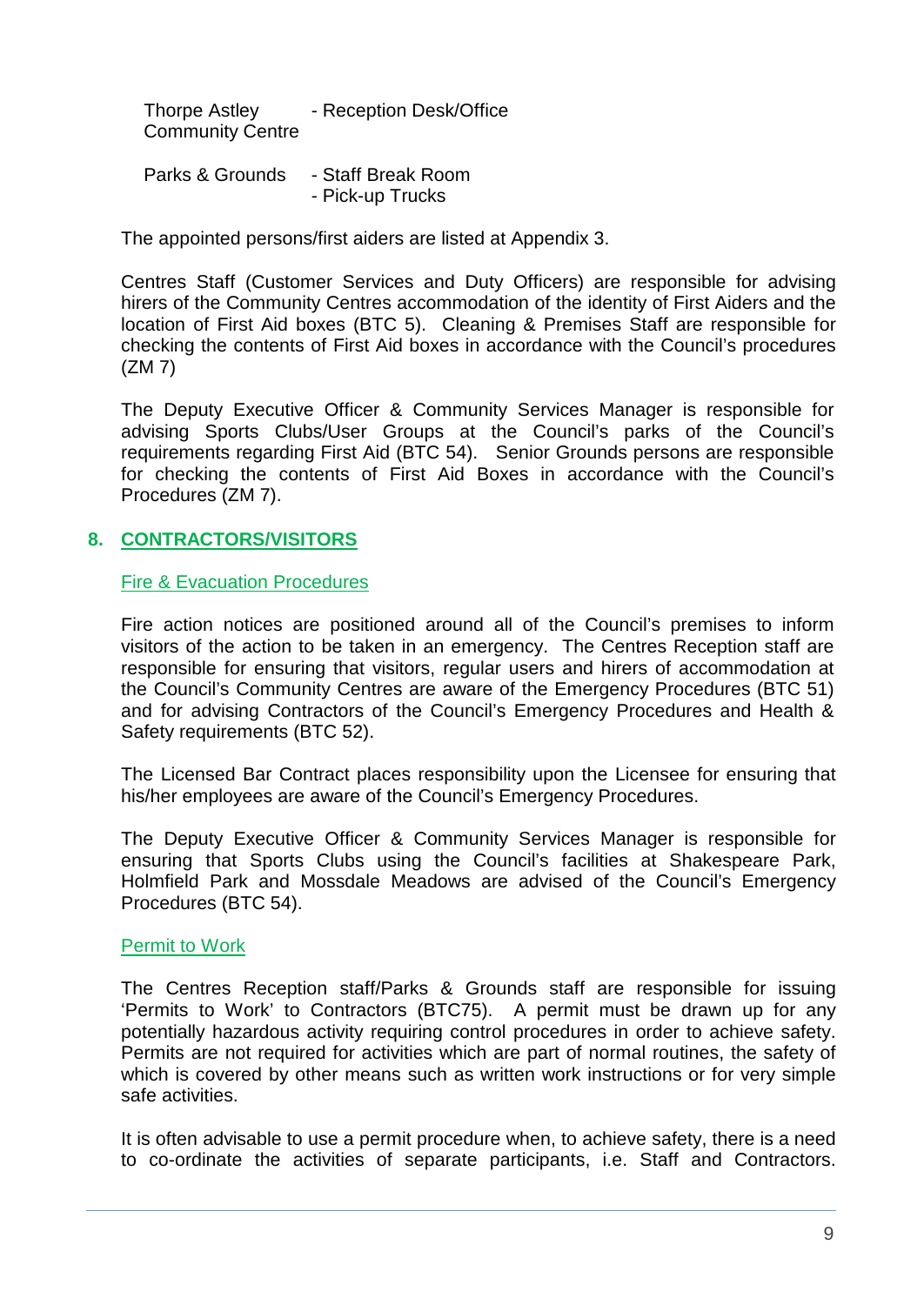Thorpe Astley - Reception Desk/Office Community Centre

Parks & Grounds - Staff Break Room - Pick-up Trucks

The appointed persons/first aiders are listed at Appendix 3.

Centres Staff (Customer Services and Duty Officers) are responsible for advising hirers of the Community Centres accommodation of the identity of First Aiders and the location of First Aid boxes (BTC 5). Cleaning & Premises Staff are responsible for checking the contents of First Aid boxes in accordance with the Council's procedures (ZM 7)

The Deputy Executive Officer & Community Services Manager is responsible for advising Sports Clubs/User Groups at the Council's parks of the Council's requirements regarding First Aid (BTC 54). Senior Grounds persons are responsible for checking the contents of First Aid Boxes in accordance with the Council's Procedures (ZM 7).

## <span id="page-8-0"></span>**8. CONTRACTORS/VISITORS**

<span id="page-8-1"></span>Fire & Evacuation Procedures

Fire action notices are positioned around all of the Council's premises to inform visitors of the action to be taken in an emergency. The Centres Reception staff are responsible for ensuring that visitors, regular users and hirers of accommodation at the Council's Community Centres are aware of the Emergency Procedures (BTC 51) and for advising Contractors of the Council's Emergency Procedures and Health & Safety requirements (BTC 52).

The Licensed Bar Contract places responsibility upon the Licensee for ensuring that his/her employees are aware of the Council's Emergency Procedures.

The Deputy Executive Officer & Community Services Manager is responsible for ensuring that Sports Clubs using the Council's facilities at Shakespeare Park, Holmfield Park and Mossdale Meadows are advised of the Council's Emergency Procedures (BTC 54).

#### <span id="page-8-2"></span>Permit to Work

The Centres Reception staff/Parks & Grounds staff are responsible for issuing 'Permits to Work' to Contractors (BTC75). A permit must be drawn up for any potentially hazardous activity requiring control procedures in order to achieve safety. Permits are not required for activities which are part of normal routines, the safety of which is covered by other means such as written work instructions or for very simple safe activities.

It is often advisable to use a permit procedure when, to achieve safety, there is a need to co-ordinate the activities of separate participants, i.e. Staff and Contractors.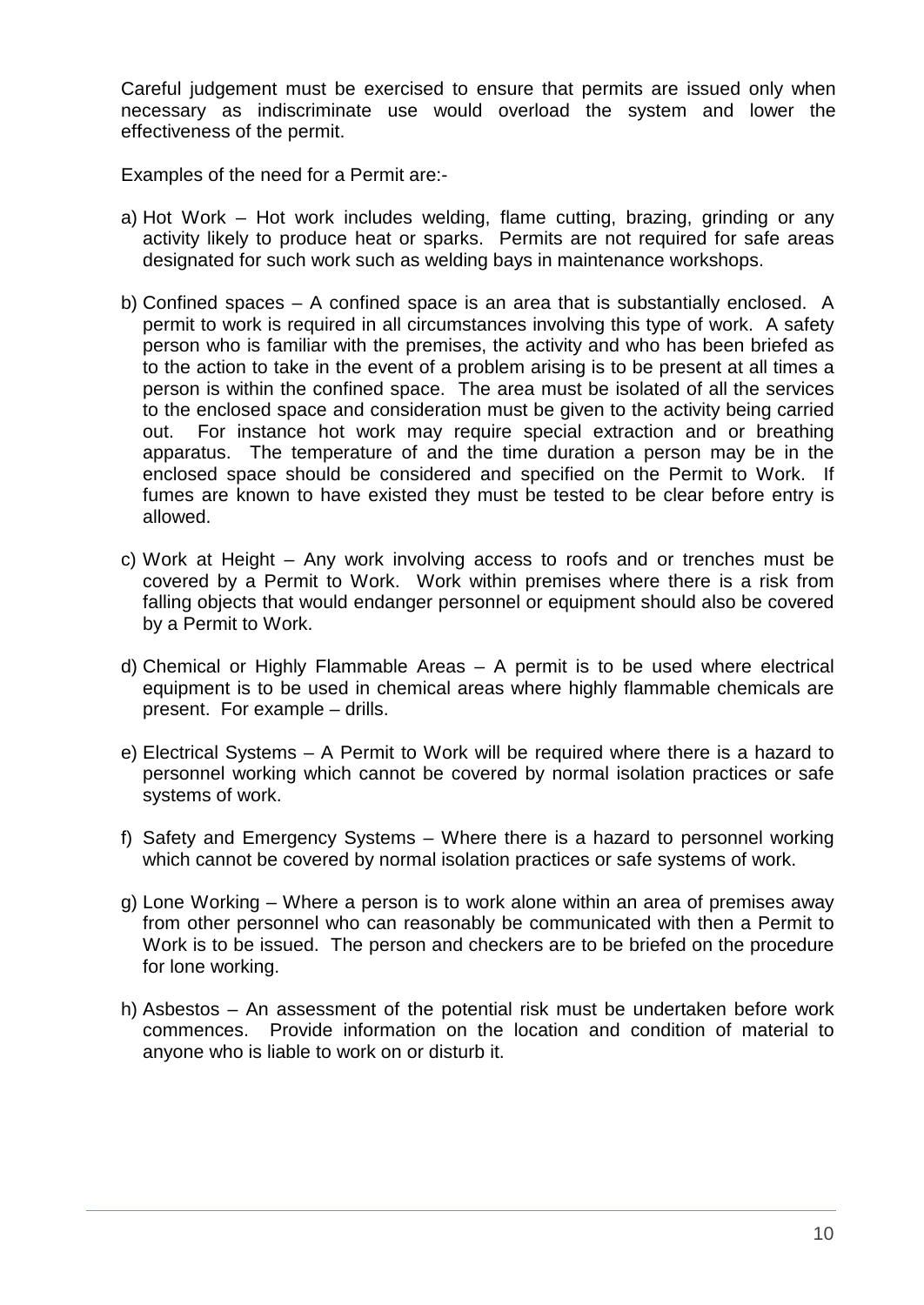Careful judgement must be exercised to ensure that permits are issued only when necessary as indiscriminate use would overload the system and lower the effectiveness of the permit.

Examples of the need for a Permit are:-

- a) Hot Work Hot work includes welding, flame cutting, brazing, grinding or any activity likely to produce heat or sparks. Permits are not required for safe areas designated for such work such as welding bays in maintenance workshops.
- b) Confined spaces A confined space is an area that is substantially enclosed. A permit to work is required in all circumstances involving this type of work. A safety person who is familiar with the premises, the activity and who has been briefed as to the action to take in the event of a problem arising is to be present at all times a person is within the confined space. The area must be isolated of all the services to the enclosed space and consideration must be given to the activity being carried out. For instance hot work may require special extraction and or breathing apparatus. The temperature of and the time duration a person may be in the enclosed space should be considered and specified on the Permit to Work. If fumes are known to have existed they must be tested to be clear before entry is allowed.
- c) Work at Height Any work involving access to roofs and or trenches must be covered by a Permit to Work. Work within premises where there is a risk from falling objects that would endanger personnel or equipment should also be covered by a Permit to Work.
- d) Chemical or Highly Flammable Areas A permit is to be used where electrical equipment is to be used in chemical areas where highly flammable chemicals are present. For example – drills.
- e) Electrical Systems A Permit to Work will be required where there is a hazard to personnel working which cannot be covered by normal isolation practices or safe systems of work.
- f) Safety and Emergency Systems Where there is a hazard to personnel working which cannot be covered by normal isolation practices or safe systems of work.
- g) Lone Working Where a person is to work alone within an area of premises away from other personnel who can reasonably be communicated with then a Permit to Work is to be issued. The person and checkers are to be briefed on the procedure for lone working.
- h) Asbestos An assessment of the potential risk must be undertaken before work commences. Provide information on the location and condition of material to anyone who is liable to work on or disturb it.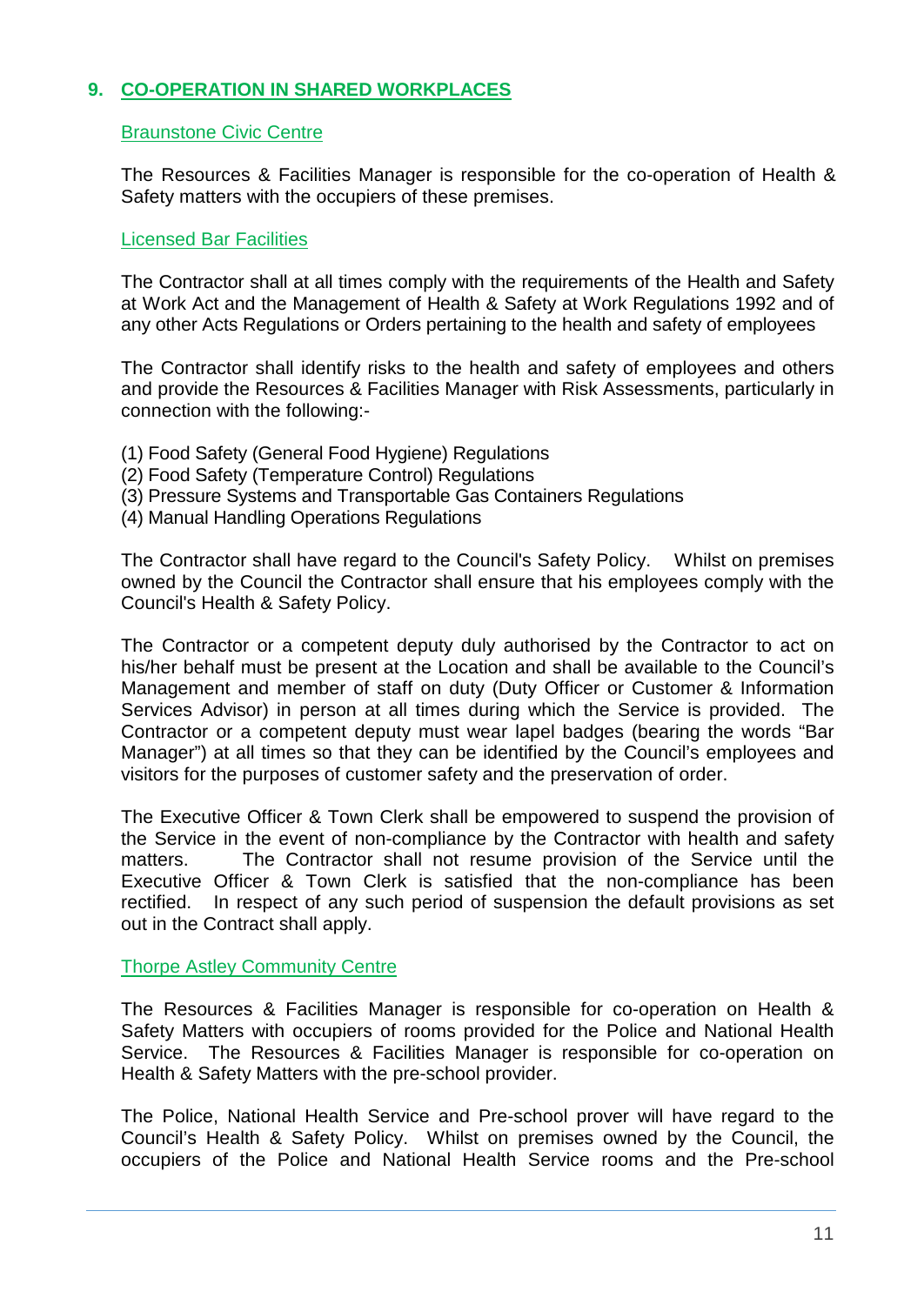## <span id="page-10-0"></span>**9. CO-OPERATION IN SHARED WORKPLACES**

## <span id="page-10-1"></span>Braunstone Civic Centre

The Resources & Facilities Manager is responsible for the co-operation of Health & Safety matters with the occupiers of these premises.

## <span id="page-10-2"></span>Licensed Bar Facilities

The Contractor shall at all times comply with the requirements of the Health and Safety at Work Act and the Management of Health & Safety at Work Regulations 1992 and of any other Acts Regulations or Orders pertaining to the health and safety of employees

The Contractor shall identify risks to the health and safety of employees and others and provide the Resources & Facilities Manager with Risk Assessments, particularly in connection with the following:-

- (1) Food Safety (General Food Hygiene) Regulations
- (2) Food Safety (Temperature Control) Regulations
- (3) Pressure Systems and Transportable Gas Containers Regulations
- (4) Manual Handling Operations Regulations

The Contractor shall have regard to the Council's Safety Policy. Whilst on premises owned by the Council the Contractor shall ensure that his employees comply with the Council's Health & Safety Policy.

The Contractor or a competent deputy duly authorised by the Contractor to act on his/her behalf must be present at the Location and shall be available to the Council's Management and member of staff on duty (Duty Officer or Customer & Information Services Advisor) in person at all times during which the Service is provided. The Contractor or a competent deputy must wear lapel badges (bearing the words "Bar Manager") at all times so that they can be identified by the Council's employees and visitors for the purposes of customer safety and the preservation of order.

The Executive Officer & Town Clerk shall be empowered to suspend the provision of the Service in the event of non-compliance by the Contractor with health and safety matters. The Contractor shall not resume provision of the Service until the Executive Officer & Town Clerk is satisfied that the non-compliance has been rectified. In respect of any such period of suspension the default provisions as set out in the Contract shall apply.

#### Thorpe Astley Community Centre

The Resources & Facilities Manager is responsible for co-operation on Health & Safety Matters with occupiers of rooms provided for the Police and National Health Service. The Resources & Facilities Manager is responsible for co-operation on Health & Safety Matters with the pre-school provider.

The Police, National Health Service and Pre-school prover will have regard to the Council's Health & Safety Policy. Whilst on premises owned by the Council, the occupiers of the Police and National Health Service rooms and the Pre-school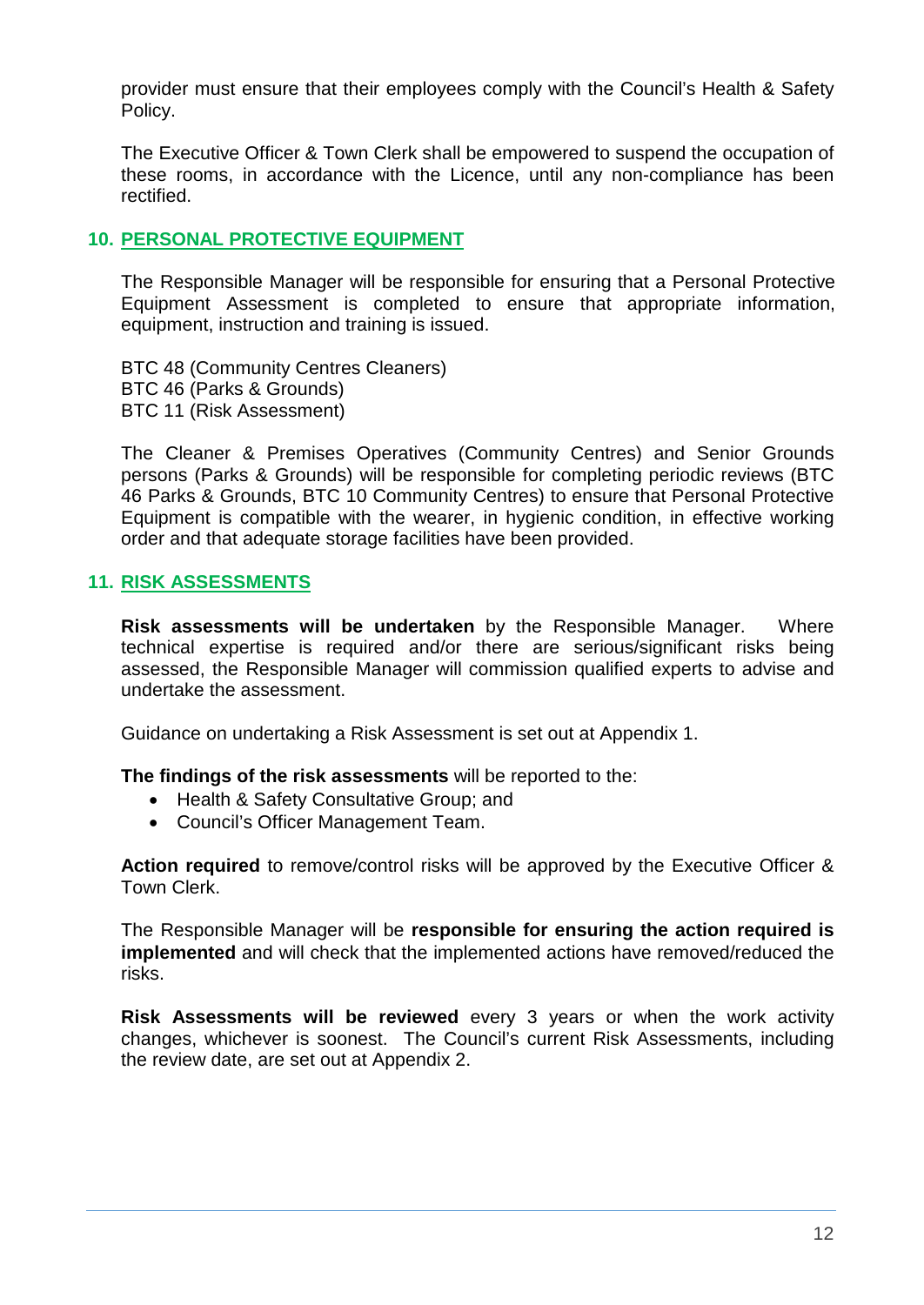provider must ensure that their employees comply with the Council's Health & Safety Policy.

The Executive Officer & Town Clerk shall be empowered to suspend the occupation of these rooms, in accordance with the Licence, until any non-compliance has been rectified.

## <span id="page-11-0"></span>**10. PERSONAL PROTECTIVE EQUIPMENT**

The Responsible Manager will be responsible for ensuring that a Personal Protective Equipment Assessment is completed to ensure that appropriate information, equipment, instruction and training is issued.

BTC 48 (Community Centres Cleaners) BTC 46 (Parks & Grounds) BTC 11 (Risk Assessment)

The Cleaner & Premises Operatives (Community Centres) and Senior Grounds persons (Parks & Grounds) will be responsible for completing periodic reviews (BTC 46 Parks & Grounds, BTC 10 Community Centres) to ensure that Personal Protective Equipment is compatible with the wearer, in hygienic condition, in effective working order and that adequate storage facilities have been provided.

## <span id="page-11-1"></span>**11. RISK ASSESSMENTS**

**Risk assessments will be undertaken** by the Responsible Manager. Where technical expertise is required and/or there are serious/significant risks being assessed, the Responsible Manager will commission qualified experts to advise and undertake the assessment.

Guidance on undertaking a Risk Assessment is set out at Appendix 1.

**The findings of the risk assessments** will be reported to the:

- Health & Safety Consultative Group; and
- Council's Officer Management Team.

**Action required** to remove/control risks will be approved by the Executive Officer & Town Clerk.

The Responsible Manager will be **responsible for ensuring the action required is implemented** and will check that the implemented actions have removed/reduced the risks.

**Risk Assessments will be reviewed** every 3 years or when the work activity changes, whichever is soonest. The Council's current Risk Assessments, including the review date, are set out at Appendix 2.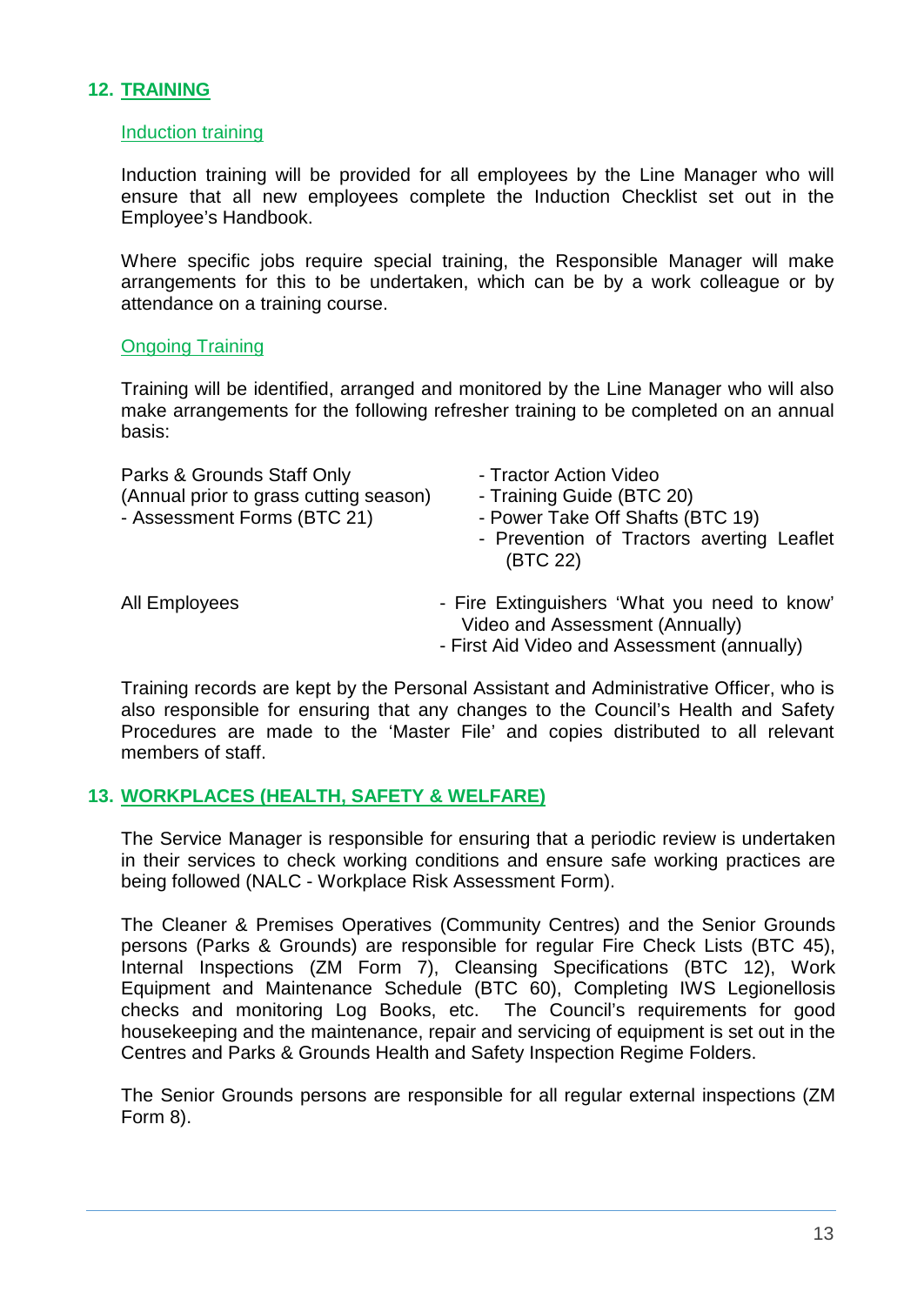## <span id="page-12-0"></span>**12. TRAINING**

#### Induction training

Induction training will be provided for all employees by the Line Manager who will ensure that all new employees complete the Induction Checklist set out in the Employee's Handbook.

Where specific jobs require special training, the Responsible Manager will make arrangements for this to be undertaken, which can be by a work colleague or by attendance on a training course.

#### Ongoing Training

Training will be identified, arranged and monitored by the Line Manager who will also make arrangements for the following refresher training to be completed on an annual basis:

Parks & Grounds Staff Only **Fractor Action Video** (Annual prior to grass cutting season) - Training Guide (BTC 20) - Assessment Forms (BTC 21) - Power Take Off Shafts (BTC 19)

- 
- 
- 
- Prevention of Tractors averting Leaflet (BTC 22)

- All Employees **All Employees** Fire Extinguishers 'What you need to know' Video and Assessment (Annually)
	- First Aid Video and Assessment (annually)

Training records are kept by the Personal Assistant and Administrative Officer, who is also responsible for ensuring that any changes to the Council's Health and Safety Procedures are made to the 'Master File' and copies distributed to all relevant members of staff.

#### <span id="page-12-1"></span>**13. WORKPLACES (HEALTH, SAFETY & WELFARE)**

The Service Manager is responsible for ensuring that a periodic review is undertaken in their services to check working conditions and ensure safe working practices are being followed (NALC - Workplace Risk Assessment Form).

The Cleaner & Premises Operatives (Community Centres) and the Senior Grounds persons (Parks & Grounds) are responsible for regular Fire Check Lists (BTC 45), Internal Inspections (ZM Form 7), Cleansing Specifications (BTC 12), Work Equipment and Maintenance Schedule (BTC 60), Completing IWS Legionellosis checks and monitoring Log Books, etc. The Council's requirements for good housekeeping and the maintenance, repair and servicing of equipment is set out in the Centres and Parks & Grounds Health and Safety Inspection Regime Folders.

The Senior Grounds persons are responsible for all regular external inspections (ZM Form 8).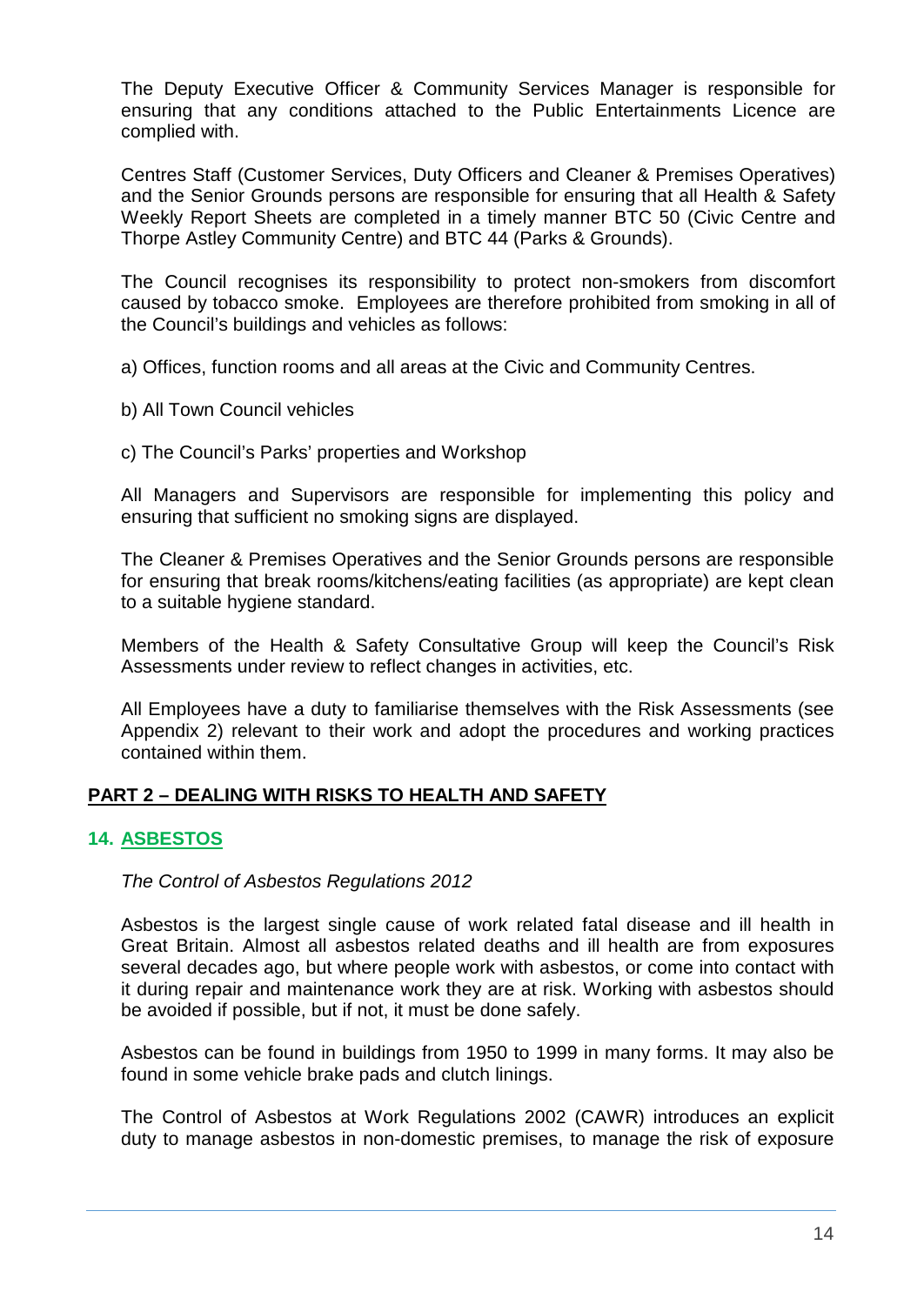The Deputy Executive Officer & Community Services Manager is responsible for ensuring that any conditions attached to the Public Entertainments Licence are complied with.

Centres Staff (Customer Services, Duty Officers and Cleaner & Premises Operatives) and the Senior Grounds persons are responsible for ensuring that all Health & Safety Weekly Report Sheets are completed in a timely manner BTC 50 (Civic Centre and Thorpe Astley Community Centre) and BTC 44 (Parks & Grounds).

The Council recognises its responsibility to protect non-smokers from discomfort caused by tobacco smoke. Employees are therefore prohibited from smoking in all of the Council's buildings and vehicles as follows:

a) Offices, function rooms and all areas at the Civic and Community Centres.

- b) All Town Council vehicles
- c) The Council's Parks' properties and Workshop

All Managers and Supervisors are responsible for implementing this policy and ensuring that sufficient no smoking signs are displayed.

The Cleaner & Premises Operatives and the Senior Grounds persons are responsible for ensuring that break rooms/kitchens/eating facilities (as appropriate) are kept clean to a suitable hygiene standard.

Members of the Health & Safety Consultative Group will keep the Council's Risk Assessments under review to reflect changes in activities, etc.

All Employees have a duty to familiarise themselves with the Risk Assessments (see Appendix 2) relevant to their work and adopt the procedures and working practices contained within them.

## **PART 2 – DEALING WITH RISKS TO HEALTH AND SAFETY**

## <span id="page-13-0"></span>**14. ASBESTOS**

#### *The Control of Asbestos Regulations 2012*

Asbestos is the largest single cause of work related fatal disease and ill health in Great Britain. Almost all asbestos related deaths and ill health are from exposures several decades ago, but where people work with asbestos, or come into contact with it during repair and maintenance work they are at risk. Working with asbestos should be avoided if possible, but if not, it must be done safely.

Asbestos can be found in buildings from 1950 to 1999 in many forms. It may also be found in some vehicle brake pads and clutch linings.

The Control of Asbestos at Work Regulations 2002 (CAWR) introduces an explicit duty to manage asbestos in non-domestic premises, to manage the risk of exposure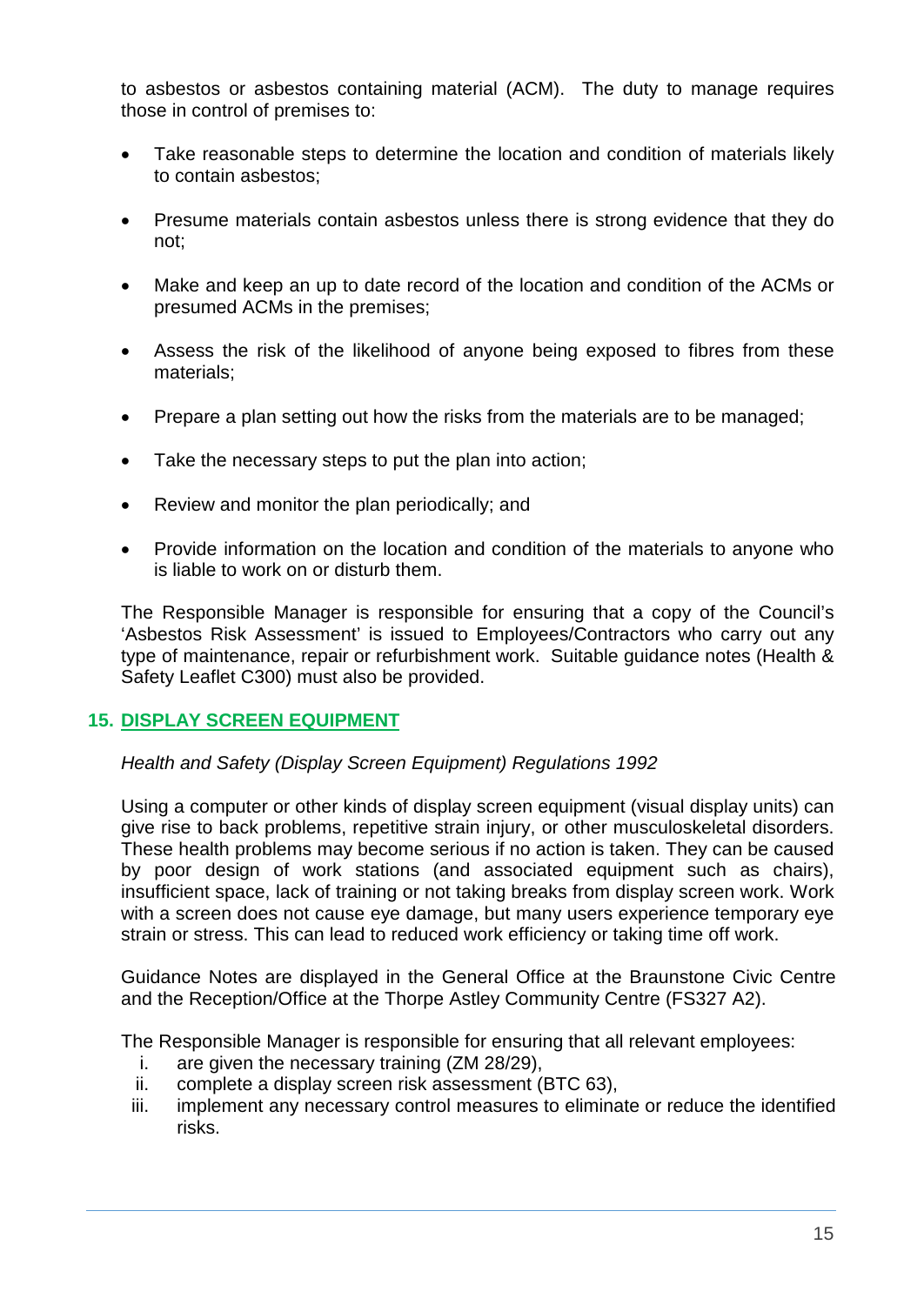to asbestos or asbestos containing material (ACM). The duty to manage requires those in control of premises to:

- Take reasonable steps to determine the location and condition of materials likely to contain asbestos;
- Presume materials contain asbestos unless there is strong evidence that they do not;
- Make and keep an up to date record of the location and condition of the ACMs or presumed ACMs in the premises;
- Assess the risk of the likelihood of anyone being exposed to fibres from these materials;
- Prepare a plan setting out how the risks from the materials are to be managed;
- Take the necessary steps to put the plan into action;
- Review and monitor the plan periodically; and
- Provide information on the location and condition of the materials to anyone who is liable to work on or disturb them.

The Responsible Manager is responsible for ensuring that a copy of the Council's 'Asbestos Risk Assessment' is issued to Employees/Contractors who carry out any type of maintenance, repair or refurbishment work. Suitable guidance notes (Health & Safety Leaflet C300) must also be provided.

## <span id="page-14-0"></span>**15. DISPLAY SCREEN EQUIPMENT**

#### *Health and Safety (Display Screen Equipment) Regulations 1992*

Using a computer or other kinds of display screen equipment (visual display units) can give rise to back problems, repetitive strain injury, or other musculoskeletal disorders. These health problems may become serious if no action is taken. They can be caused by poor design of work stations (and associated equipment such as chairs), insufficient space, lack of training or not taking breaks from display screen work. Work with a screen does not cause eye damage, but many users experience temporary eye strain or stress. This can lead to reduced work efficiency or taking time off work.

Guidance Notes are displayed in the General Office at the Braunstone Civic Centre and the Reception/Office at the Thorpe Astley Community Centre (FS327 A2).

The Responsible Manager is responsible for ensuring that all relevant employees:

- i. are given the necessary training (ZM 28/29),
- ii. complete a display screen risk assessment (BTC 63),
- iii. implement any necessary control measures to eliminate or reduce the identified risks.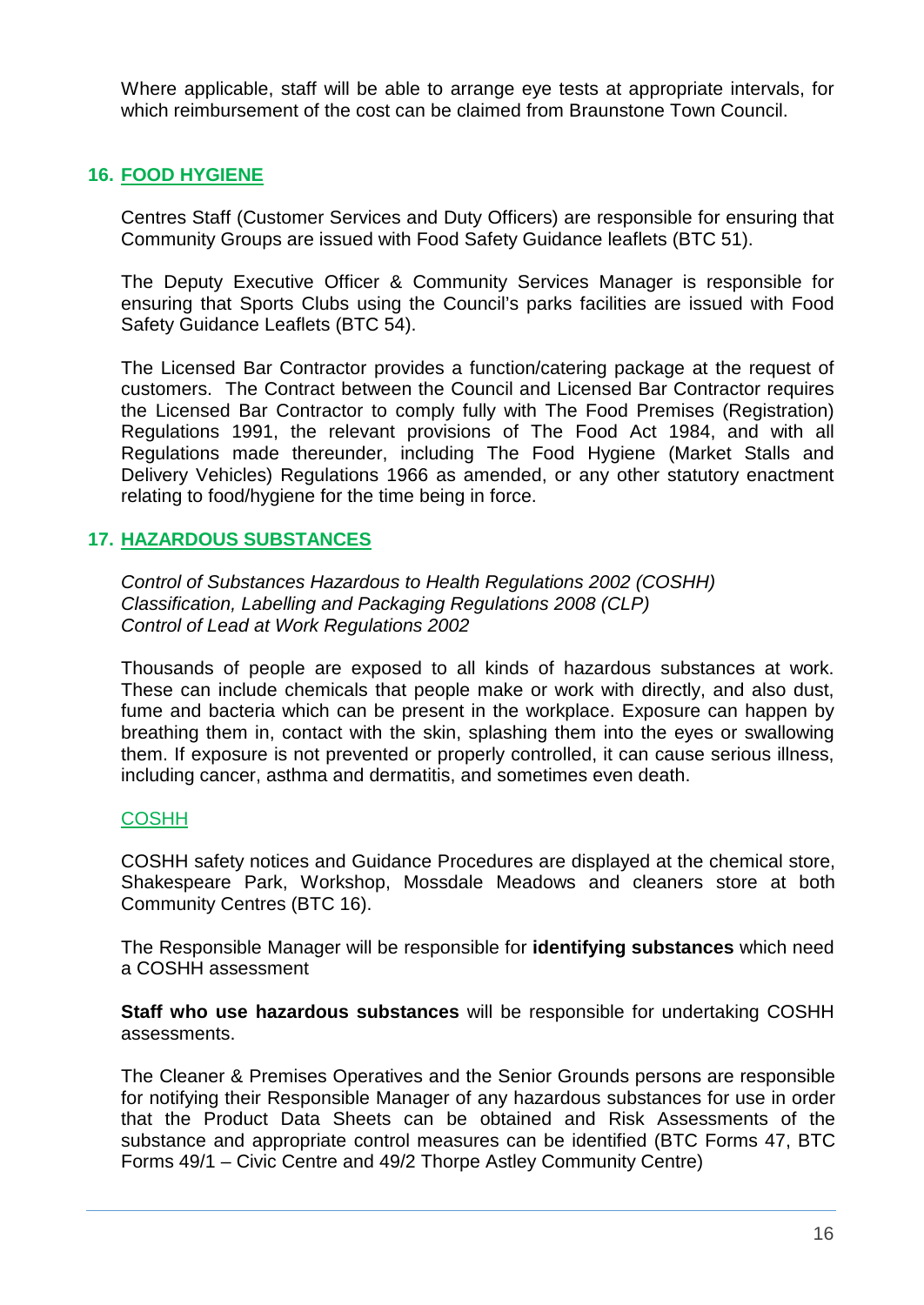Where applicable, staff will be able to arrange eye tests at appropriate intervals, for which reimbursement of the cost can be claimed from Braunstone Town Council.

## <span id="page-15-0"></span>**16. FOOD HYGIENE**

Centres Staff (Customer Services and Duty Officers) are responsible for ensuring that Community Groups are issued with Food Safety Guidance leaflets (BTC 51).

The Deputy Executive Officer & Community Services Manager is responsible for ensuring that Sports Clubs using the Council's parks facilities are issued with Food Safety Guidance Leaflets (BTC 54).

The Licensed Bar Contractor provides a function/catering package at the request of customers. The Contract between the Council and Licensed Bar Contractor requires the Licensed Bar Contractor to comply fully with The Food Premises (Registration) Regulations 1991, the relevant provisions of The Food Act 1984, and with all Regulations made thereunder, including The Food Hygiene (Market Stalls and Delivery Vehicles) Regulations 1966 as amended, or any other statutory enactment relating to food/hygiene for the time being in force.

## <span id="page-15-1"></span>**17. HAZARDOUS SUBSTANCES**

*Control of Substances Hazardous to Health Regulations 2002 (COSHH) Classification, Labelling and Packaging Regulations 2008 (CLP) Control of Lead at Work Regulations 2002*

Thousands of people are exposed to all kinds of hazardous substances at work. These can include chemicals that people make or work with directly, and also dust, fume and bacteria which can be present in the workplace. Exposure can happen by breathing them in, contact with the skin, splashing them into the eyes or swallowing them. If exposure is not prevented or properly controlled, it can cause serious illness, including cancer, asthma and dermatitis, and sometimes even death.

## **COSHH**

COSHH safety notices and Guidance Procedures are displayed at the chemical store, Shakespeare Park, Workshop, Mossdale Meadows and cleaners store at both Community Centres (BTC 16).

The Responsible Manager will be responsible for **identifying substances** which need a COSHH assessment

**Staff who use hazardous substances** will be responsible for undertaking COSHH assessments.

The Cleaner & Premises Operatives and the Senior Grounds persons are responsible for notifying their Responsible Manager of any hazardous substances for use in order that the Product Data Sheets can be obtained and Risk Assessments of the substance and appropriate control measures can be identified (BTC Forms 47, BTC Forms 49/1 – Civic Centre and 49/2 Thorpe Astley Community Centre)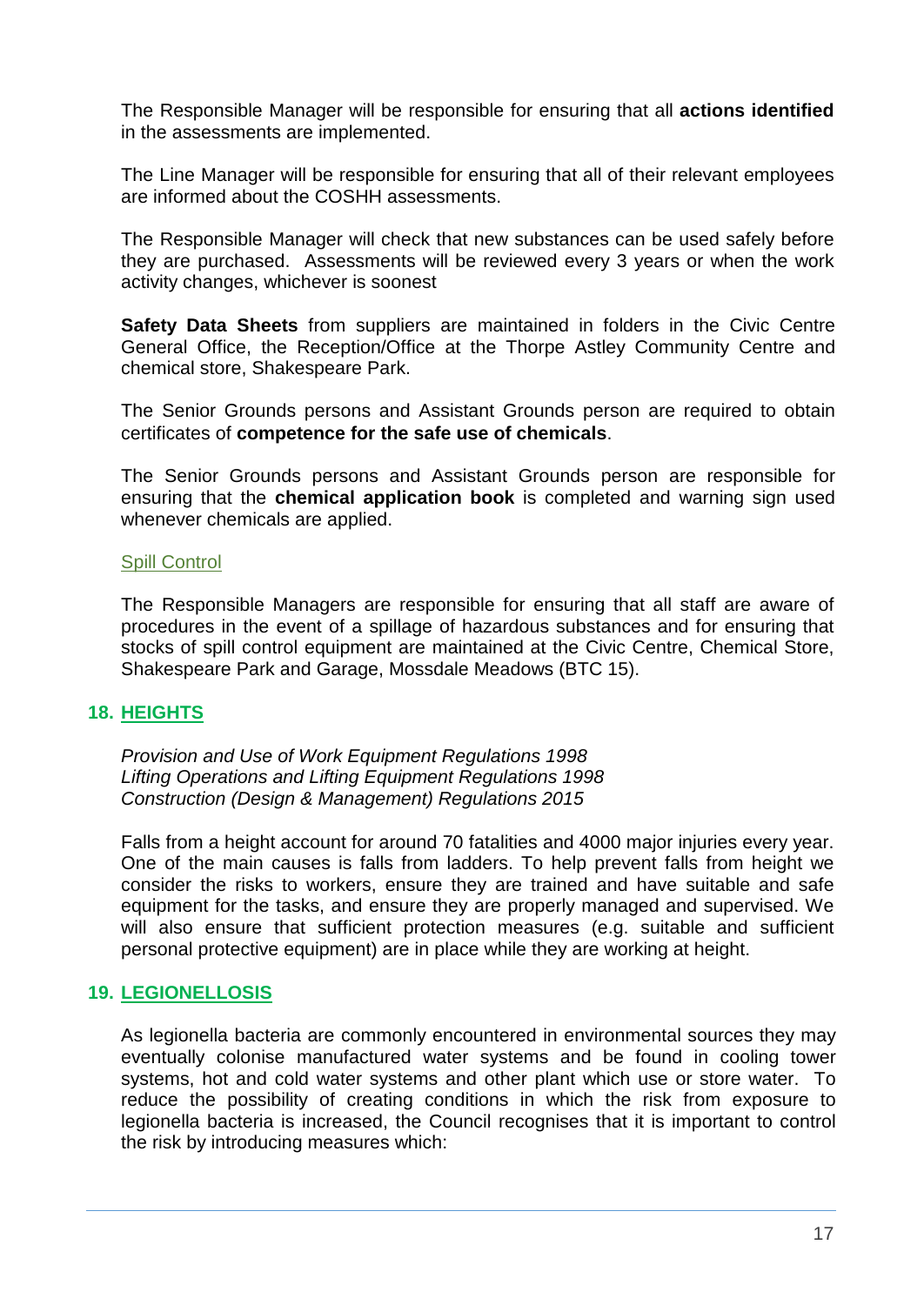The Responsible Manager will be responsible for ensuring that all **actions identified** in the assessments are implemented.

The Line Manager will be responsible for ensuring that all of their relevant employees are informed about the COSHH assessments.

The Responsible Manager will check that new substances can be used safely before they are purchased. Assessments will be reviewed every 3 years or when the work activity changes, whichever is soonest

**Safety Data Sheets** from suppliers are maintained in folders in the Civic Centre General Office, the Reception/Office at the Thorpe Astley Community Centre and chemical store, Shakespeare Park.

The Senior Grounds persons and Assistant Grounds person are required to obtain certificates of **competence for the safe use of chemicals**.

The Senior Grounds persons and Assistant Grounds person are responsible for ensuring that the **chemical application book** is completed and warning sign used whenever chemicals are applied.

#### <span id="page-16-0"></span>Spill Control

The Responsible Managers are responsible for ensuring that all staff are aware of procedures in the event of a spillage of hazardous substances and for ensuring that stocks of spill control equipment are maintained at the Civic Centre, Chemical Store, Shakespeare Park and Garage, Mossdale Meadows (BTC 15).

#### <span id="page-16-1"></span>**18. HEIGHTS**

*Provision and Use of Work Equipment Regulations 1998 Lifting Operations and Lifting Equipment Regulations 1998 Construction (Design & Management) Regulations 2015*

Falls from a height account for around 70 fatalities and 4000 major injuries every year. One of the main causes is falls from ladders. To help prevent falls from height we consider the risks to workers, ensure they are trained and have suitable and safe equipment for the tasks, and ensure they are properly managed and supervised. We will also ensure that sufficient protection measures (e.g. suitable and sufficient personal protective equipment) are in place while they are working at height.

#### <span id="page-16-2"></span>**19. LEGIONELLOSIS**

As legionella bacteria are commonly encountered in environmental sources they may eventually colonise manufactured water systems and be found in cooling tower systems, hot and cold water systems and other plant which use or store water. To reduce the possibility of creating conditions in which the risk from exposure to legionella bacteria is increased, the Council recognises that it is important to control the risk by introducing measures which: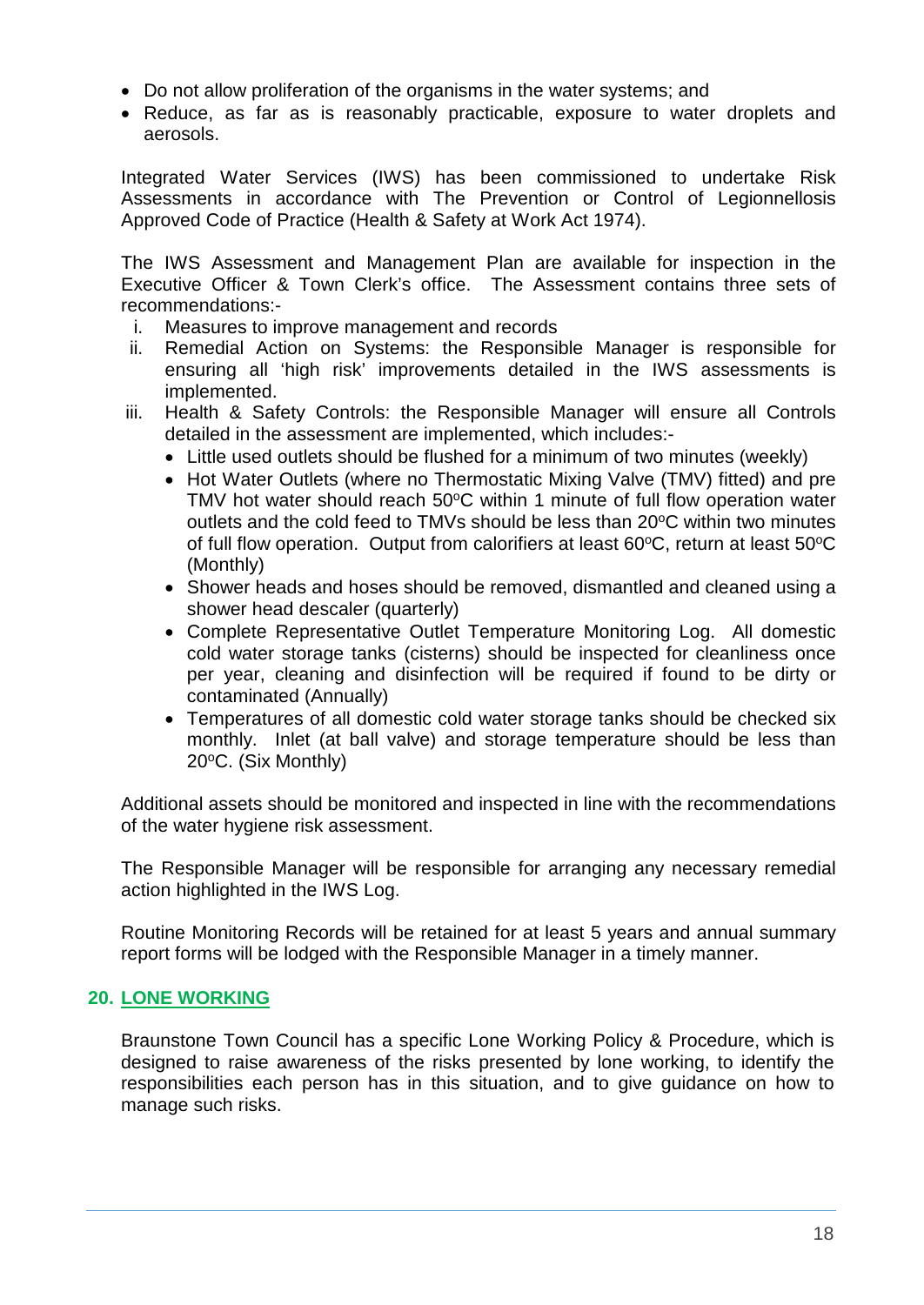- Do not allow proliferation of the organisms in the water systems; and
- Reduce, as far as is reasonably practicable, exposure to water droplets and aerosols.

Integrated Water Services (IWS) has been commissioned to undertake Risk Assessments in accordance with The Prevention or Control of Legionnellosis Approved Code of Practice (Health & Safety at Work Act 1974).

The IWS Assessment and Management Plan are available for inspection in the Executive Officer & Town Clerk's office. The Assessment contains three sets of recommendations:-

- i. Measures to improve management and records
- ii. Remedial Action on Systems: the Responsible Manager is responsible for ensuring all 'high risk' improvements detailed in the IWS assessments is implemented.
- iii. Health & Safety Controls: the Responsible Manager will ensure all Controls detailed in the assessment are implemented, which includes:-
	- Little used outlets should be flushed for a minimum of two minutes (weekly)
	- Hot Water Outlets (where no Thermostatic Mixing Valve (TMV) fitted) and pre TMV hot water should reach  $50^{\circ}$ C within 1 minute of full flow operation water outlets and the cold feed to TMVs should be less than  $20^{\circ}$ C within two minutes of full flow operation. Output from calorifiers at least  $60^{\circ}$ C, return at least  $50^{\circ}$ C (Monthly)
	- Shower heads and hoses should be removed, dismantled and cleaned using a shower head descaler (quarterly)
	- Complete Representative Outlet Temperature Monitoring Log. All domestic cold water storage tanks (cisterns) should be inspected for cleanliness once per year, cleaning and disinfection will be required if found to be dirty or contaminated (Annually)
	- Temperatures of all domestic cold water storage tanks should be checked six monthly. Inlet (at ball valve) and storage temperature should be less than  $20^{\circ}$ C. (Six Monthly)

Additional assets should be monitored and inspected in line with the recommendations of the water hygiene risk assessment.

The Responsible Manager will be responsible for arranging any necessary remedial action highlighted in the IWS Log.

Routine Monitoring Records will be retained for at least 5 years and annual summary report forms will be lodged with the Responsible Manager in a timely manner.

## <span id="page-17-0"></span>**20. LONE WORKING**

Braunstone Town Council has a specific Lone Working Policy & Procedure, which is designed to raise awareness of the risks presented by lone working, to identify the responsibilities each person has in this situation, and to give guidance on how to manage such risks.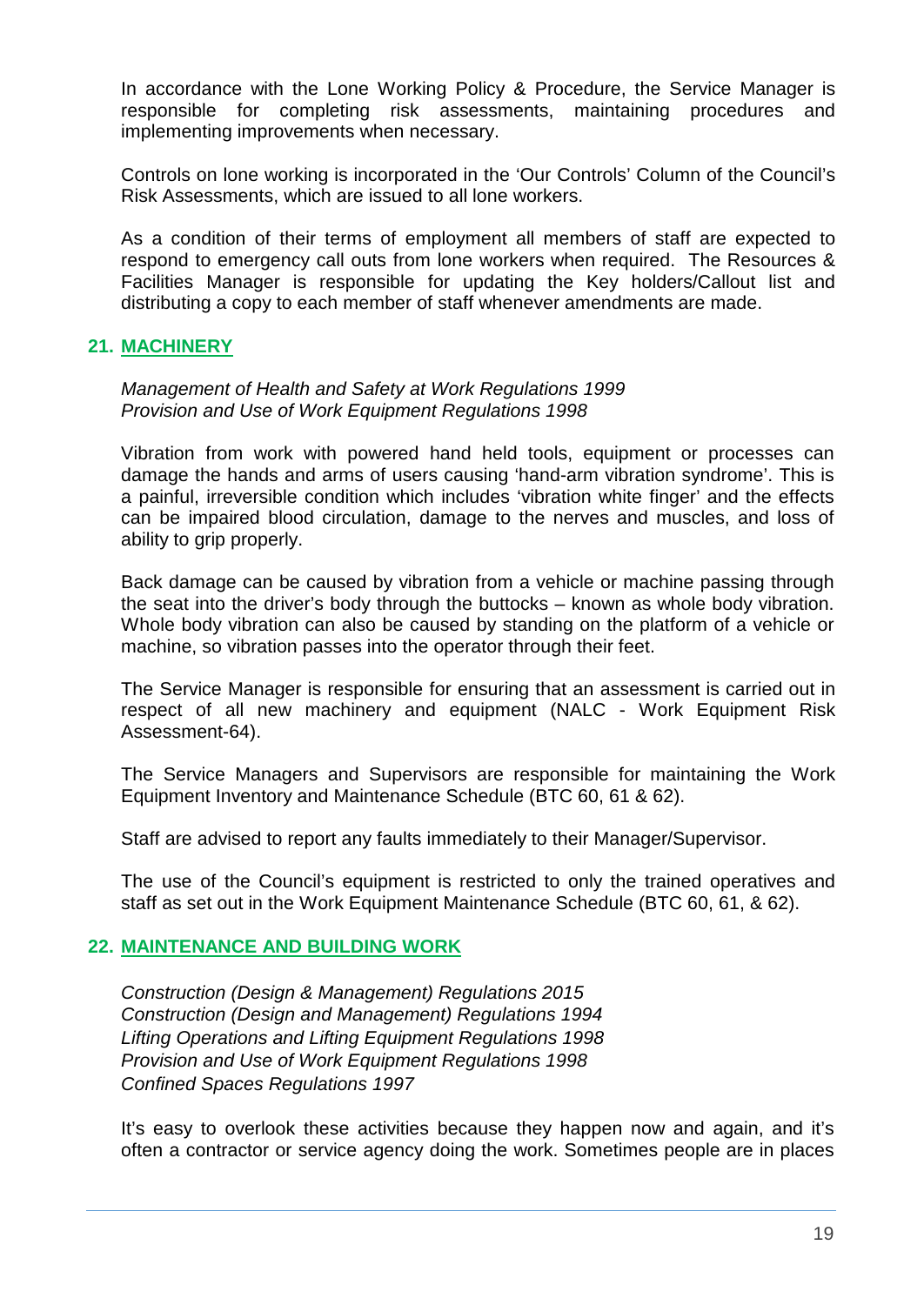In accordance with the Lone Working Policy & Procedure, the Service Manager is responsible for completing risk assessments, maintaining procedures and implementing improvements when necessary.

Controls on lone working is incorporated in the 'Our Controls' Column of the Council's Risk Assessments, which are issued to all lone workers.

As a condition of their terms of employment all members of staff are expected to respond to emergency call outs from lone workers when required. The Resources & Facilities Manager is responsible for updating the Key holders/Callout list and distributing a copy to each member of staff whenever amendments are made.

## <span id="page-18-0"></span>**21. MACHINERY**

*Management of Health and Safety at Work Regulations 1999 Provision and Use of Work Equipment Regulations 1998*

Vibration from work with powered hand held tools, equipment or processes can damage the hands and arms of users causing 'hand-arm vibration syndrome'. This is a painful, irreversible condition which includes 'vibration white finger' and the effects can be impaired blood circulation, damage to the nerves and muscles, and loss of ability to grip properly.

Back damage can be caused by vibration from a vehicle or machine passing through the seat into the driver's body through the buttocks – known as whole body vibration. Whole body vibration can also be caused by standing on the platform of a vehicle or machine, so vibration passes into the operator through their feet.

The Service Manager is responsible for ensuring that an assessment is carried out in respect of all new machinery and equipment (NALC - Work Equipment Risk Assessment-64).

The Service Managers and Supervisors are responsible for maintaining the Work Equipment Inventory and Maintenance Schedule (BTC 60, 61 & 62).

Staff are advised to report any faults immediately to their Manager/Supervisor.

The use of the Council's equipment is restricted to only the trained operatives and staff as set out in the Work Equipment Maintenance Schedule (BTC 60, 61, & 62).

#### <span id="page-18-1"></span>**22. MAINTENANCE AND BUILDING WORK**

*Construction (Design & Management) Regulations 2015 Construction (Design and Management) Regulations 1994 Lifting Operations and Lifting Equipment Regulations 1998 Provision and Use of Work Equipment Regulations 1998 Confined Spaces Regulations 1997*

It's easy to overlook these activities because they happen now and again, and it's often a contractor or service agency doing the work. Sometimes people are in places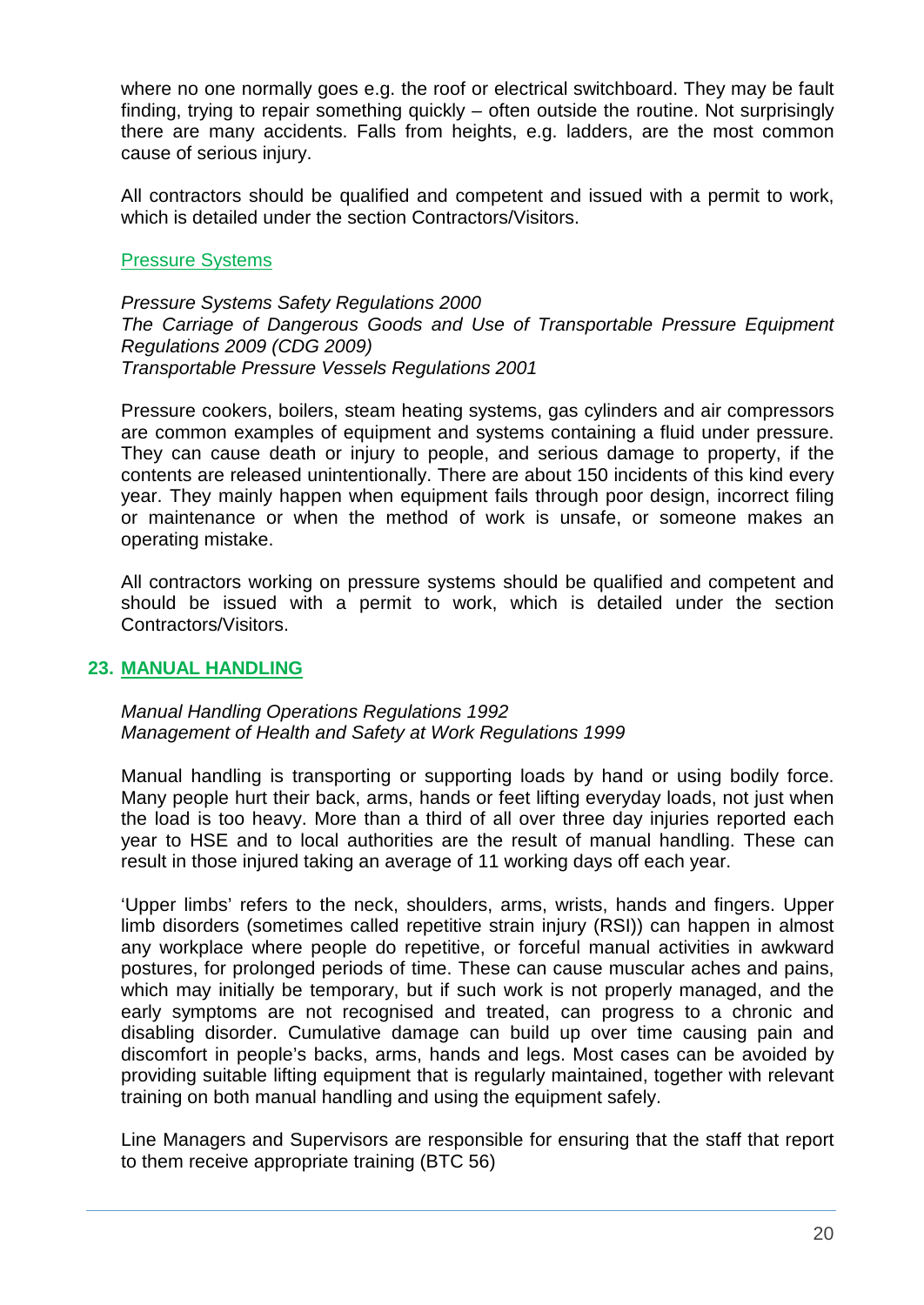where no one normally goes e.g. the roof or electrical switchboard. They may be fault finding, trying to repair something quickly – often outside the routine. Not surprisingly there are many accidents. Falls from heights, e.g. ladders, are the most common cause of serious injury.

All contractors should be qualified and competent and issued with a permit to work, which is detailed under the section Contractors/Visitors.

#### Pressure Systems

*Pressure Systems Safety Regulations 2000 The Carriage of Dangerous Goods and Use of Transportable Pressure Equipment Regulations 2009 (CDG 2009) Transportable Pressure Vessels Regulations 2001*

Pressure cookers, boilers, steam heating systems, gas cylinders and air compressors are common examples of equipment and systems containing a fluid under pressure. They can cause death or injury to people, and serious damage to property, if the contents are released unintentionally. There are about 150 incidents of this kind every year. They mainly happen when equipment fails through poor design, incorrect filing or maintenance or when the method of work is unsafe, or someone makes an operating mistake.

All contractors working on pressure systems should be qualified and competent and should be issued with a permit to work, which is detailed under the section Contractors/Visitors.

#### <span id="page-19-0"></span>**23. MANUAL HANDLING**

*Manual Handling Operations Regulations 1992 Management of Health and Safety at Work Regulations 1999*

Manual handling is transporting or supporting loads by hand or using bodily force. Many people hurt their back, arms, hands or feet lifting everyday loads, not just when the load is too heavy. More than a third of all over three day injuries reported each year to HSE and to local authorities are the result of manual handling. These can result in those injured taking an average of 11 working days off each year.

'Upper limbs' refers to the neck, shoulders, arms, wrists, hands and fingers. Upper limb disorders (sometimes called repetitive strain injury (RSI)) can happen in almost any workplace where people do repetitive, or forceful manual activities in awkward postures, for prolonged periods of time. These can cause muscular aches and pains, which may initially be temporary, but if such work is not properly managed, and the early symptoms are not recognised and treated, can progress to a chronic and disabling disorder. Cumulative damage can build up over time causing pain and discomfort in people's backs, arms, hands and legs. Most cases can be avoided by providing suitable lifting equipment that is regularly maintained, together with relevant training on both manual handling and using the equipment safely.

Line Managers and Supervisors are responsible for ensuring that the staff that report to them receive appropriate training (BTC 56)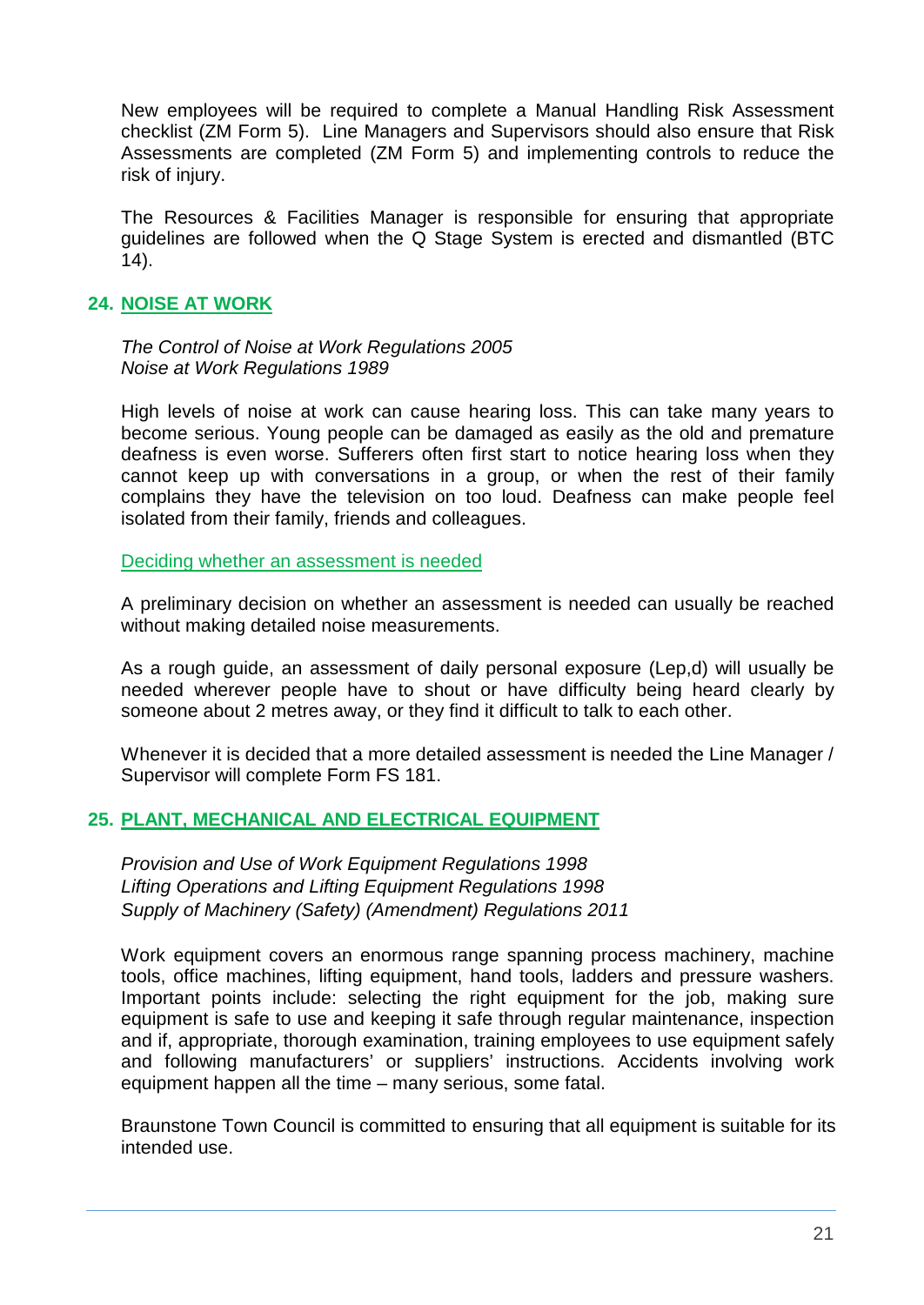New employees will be required to complete a Manual Handling Risk Assessment checklist (ZM Form 5). Line Managers and Supervisors should also ensure that Risk Assessments are completed (ZM Form 5) and implementing controls to reduce the risk of injury.

The Resources & Facilities Manager is responsible for ensuring that appropriate guidelines are followed when the Q Stage System is erected and dismantled (BTC 14).

## <span id="page-20-0"></span>**24. NOISE AT WORK**

*The Control of Noise at Work Regulations 2005 Noise at Work Regulations 1989*

High levels of noise at work can cause hearing loss. This can take many years to become serious. Young people can be damaged as easily as the old and premature deafness is even worse. Sufferers often first start to notice hearing loss when they cannot keep up with conversations in a group, or when the rest of their family complains they have the television on too loud. Deafness can make people feel isolated from their family, friends and colleagues.

<span id="page-20-1"></span>Deciding whether an assessment is needed

A preliminary decision on whether an assessment is needed can usually be reached without making detailed noise measurements.

As a rough guide, an assessment of daily personal exposure (Lep,d) will usually be needed wherever people have to shout or have difficulty being heard clearly by someone about 2 metres away, or they find it difficult to talk to each other.

Whenever it is decided that a more detailed assessment is needed the Line Manager / Supervisor will complete Form FS 181.

## <span id="page-20-2"></span>**25. PLANT, MECHANICAL AND ELECTRICAL EQUIPMENT**

*Provision and Use of Work Equipment Regulations 1998 Lifting Operations and Lifting Equipment Regulations 1998 Supply of Machinery (Safety) (Amendment) Regulations 2011*

Work equipment covers an enormous range spanning process machinery, machine tools, office machines, lifting equipment, hand tools, ladders and pressure washers. Important points include: selecting the right equipment for the job, making sure equipment is safe to use and keeping it safe through regular maintenance, inspection and if, appropriate, thorough examination, training employees to use equipment safely and following manufacturers' or suppliers' instructions. Accidents involving work equipment happen all the time – many serious, some fatal.

Braunstone Town Council is committed to ensuring that all equipment is suitable for its intended use.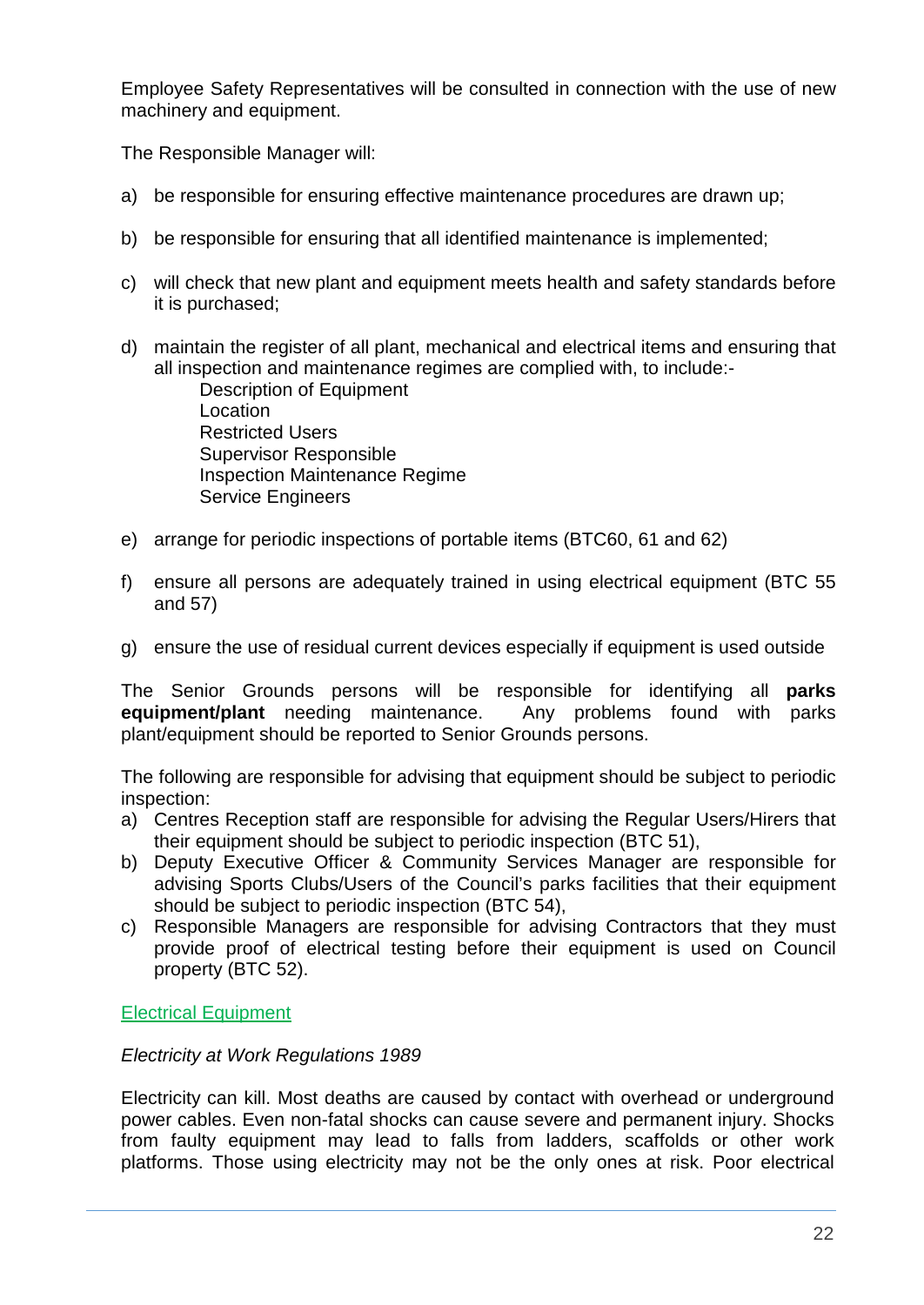Employee Safety Representatives will be consulted in connection with the use of new machinery and equipment.

The Responsible Manager will:

- a) be responsible for ensuring effective maintenance procedures are drawn up;
- b) be responsible for ensuring that all identified maintenance is implemented;
- c) will check that new plant and equipment meets health and safety standards before it is purchased;
- d) maintain the register of all plant, mechanical and electrical items and ensuring that all inspection and maintenance regimes are complied with, to include:-

Description of Equipment Location Restricted Users Supervisor Responsible Inspection Maintenance Regime Service Engineers

- e) arrange for periodic inspections of portable items (BTC60, 61 and 62)
- f) ensure all persons are adequately trained in using electrical equipment (BTC 55 and 57)
- g) ensure the use of residual current devices especially if equipment is used outside

The Senior Grounds persons will be responsible for identifying all **parks equipment/plant** needing maintenance. Any problems found with parks plant/equipment should be reported to Senior Grounds persons.

The following are responsible for advising that equipment should be subject to periodic inspection:

- a) Centres Reception staff are responsible for advising the Regular Users/Hirers that their equipment should be subject to periodic inspection (BTC 51),
- b) Deputy Executive Officer & Community Services Manager are responsible for advising Sports Clubs/Users of the Council's parks facilities that their equipment should be subject to periodic inspection (BTC 54),
- c) Responsible Managers are responsible for advising Contractors that they must provide proof of electrical testing before their equipment is used on Council property (BTC 52).

Electrical Equipment

#### *Electricity at Work Regulations 1989*

Electricity can kill. Most deaths are caused by contact with overhead or underground power cables. Even non-fatal shocks can cause severe and permanent injury. Shocks from faulty equipment may lead to falls from ladders, scaffolds or other work platforms. Those using electricity may not be the only ones at risk. Poor electrical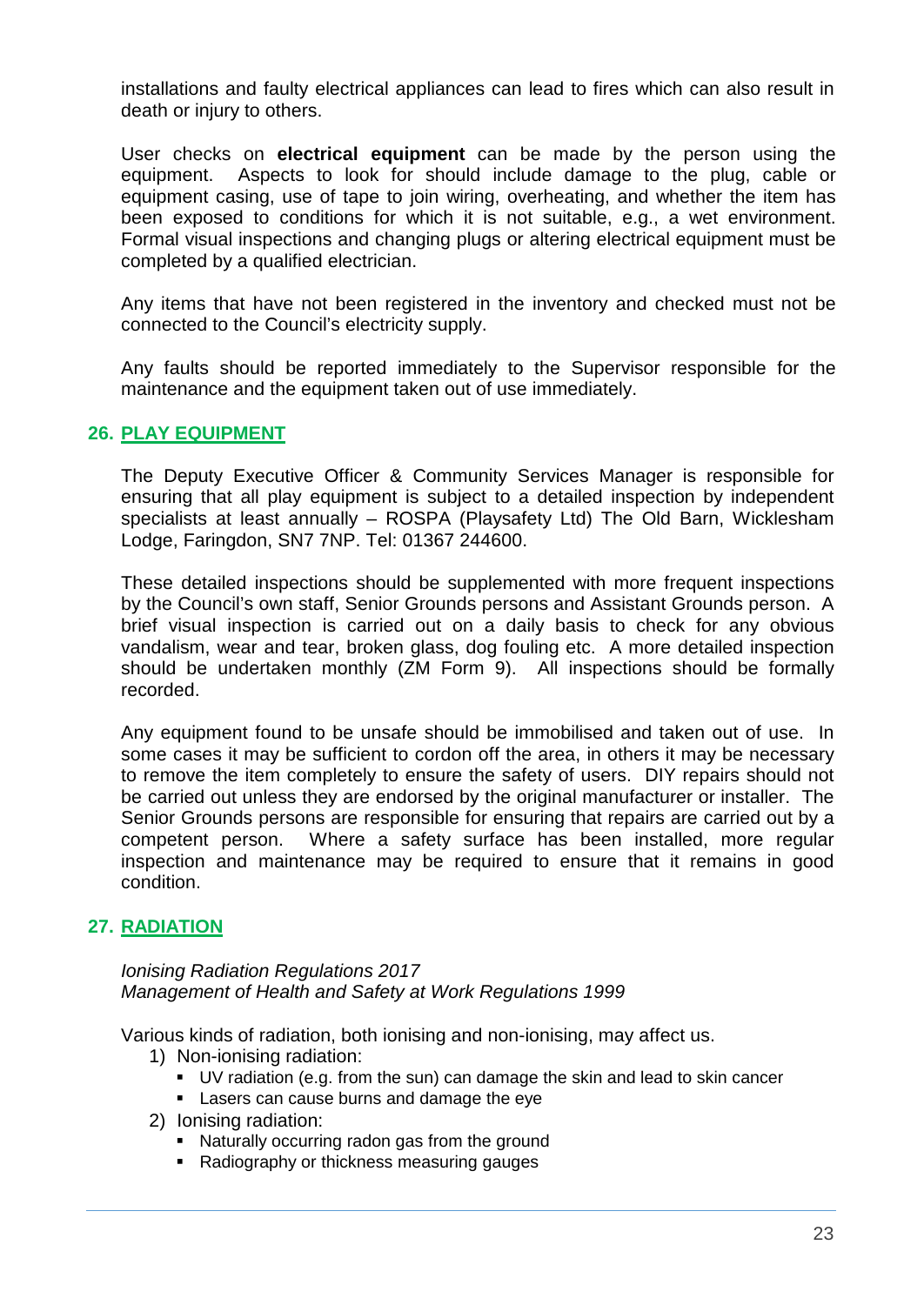installations and faulty electrical appliances can lead to fires which can also result in death or injury to others.

User checks on **electrical equipment** can be made by the person using the equipment. Aspects to look for should include damage to the plug, cable or equipment casing, use of tape to join wiring, overheating, and whether the item has been exposed to conditions for which it is not suitable, e.g., a wet environment. Formal visual inspections and changing plugs or altering electrical equipment must be completed by a qualified electrician.

Any items that have not been registered in the inventory and checked must not be connected to the Council's electricity supply.

Any faults should be reported immediately to the Supervisor responsible for the maintenance and the equipment taken out of use immediately.

#### <span id="page-22-0"></span>**26. PLAY EQUIPMENT**

The Deputy Executive Officer & Community Services Manager is responsible for ensuring that all play equipment is subject to a detailed inspection by independent specialists at least annually – ROSPA (Playsafety Ltd) The Old Barn, Wicklesham Lodge, Faringdon, SN7 7NP. Tel: 01367 244600.

These detailed inspections should be supplemented with more frequent inspections by the Council's own staff, Senior Grounds persons and Assistant Grounds person. A brief visual inspection is carried out on a daily basis to check for any obvious vandalism, wear and tear, broken glass, dog fouling etc. A more detailed inspection should be undertaken monthly (ZM Form 9). All inspections should be formally recorded.

Any equipment found to be unsafe should be immobilised and taken out of use. In some cases it may be sufficient to cordon off the area, in others it may be necessary to remove the item completely to ensure the safety of users. DIY repairs should not be carried out unless they are endorsed by the original manufacturer or installer. The Senior Grounds persons are responsible for ensuring that repairs are carried out by a competent person. Where a safety surface has been installed, more regular inspection and maintenance may be required to ensure that it remains in good condition.

## <span id="page-22-1"></span>**27. RADIATION**

*Ionising Radiation Regulations 2017 Management of Health and Safety at Work Regulations 1999*

Various kinds of radiation, both ionising and non-ionising, may affect us.

- 1) Non-ionising radiation:
	- UV radiation (e.g. from the sun) can damage the skin and lead to skin cancer
	- **Lasers can cause burns and damage the eye**
- 2) Ionising radiation:
	- Naturally occurring radon gas from the ground
	- Radiography or thickness measuring gauges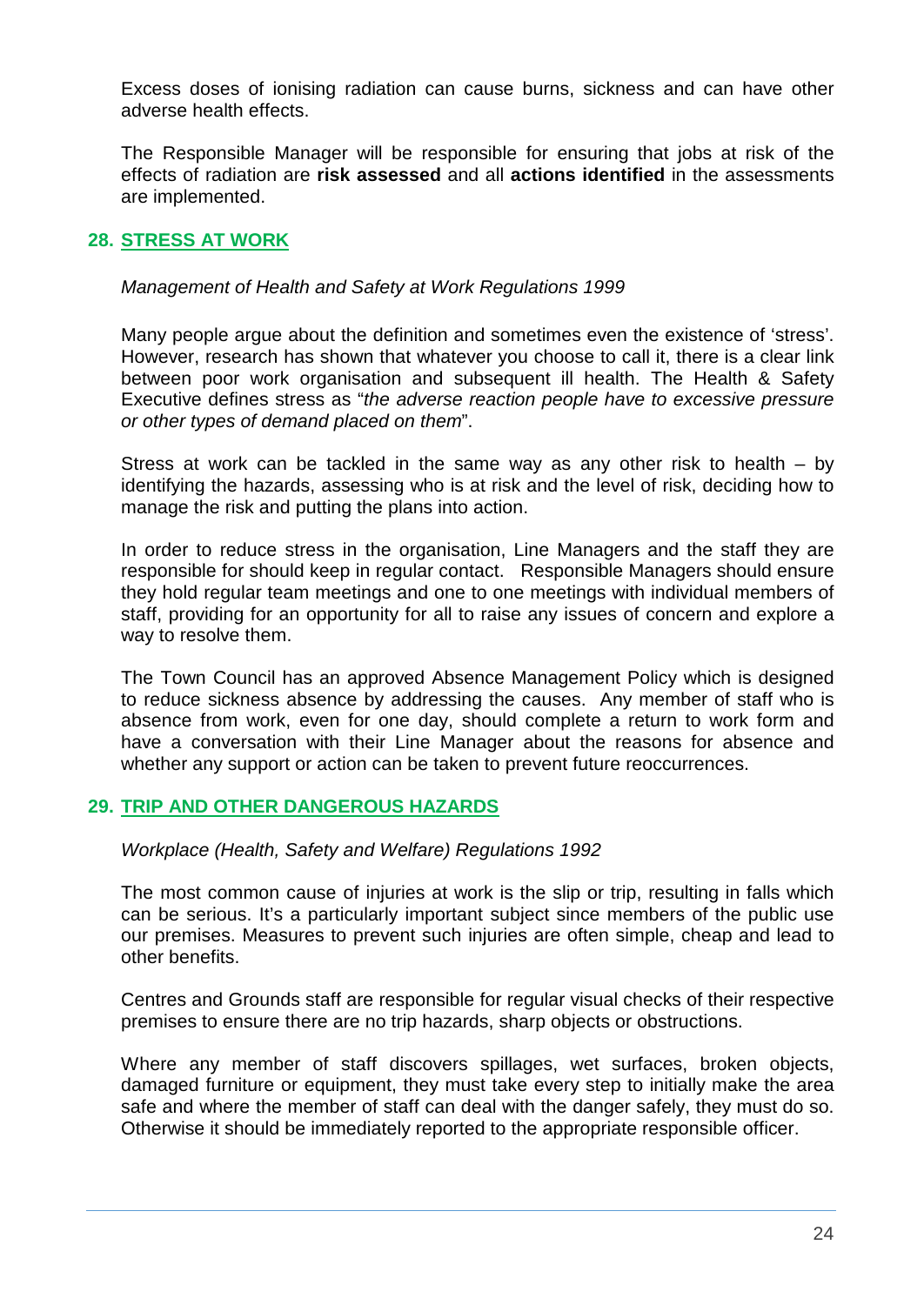Excess doses of ionising radiation can cause burns, sickness and can have other adverse health effects.

The Responsible Manager will be responsible for ensuring that jobs at risk of the effects of radiation are **risk assessed** and all **actions identified** in the assessments are implemented.

## <span id="page-23-0"></span>**28. STRESS AT WORK**

*Management of Health and Safety at Work Regulations 1999*

Many people argue about the definition and sometimes even the existence of 'stress'. However, research has shown that whatever you choose to call it, there is a clear link between poor work organisation and subsequent ill health. The Health & Safety Executive defines stress as "*the adverse reaction people have to excessive pressure or other types of demand placed on them*".

Stress at work can be tackled in the same way as any other risk to health – by identifying the hazards, assessing who is at risk and the level of risk, deciding how to manage the risk and putting the plans into action.

In order to reduce stress in the organisation, Line Managers and the staff they are responsible for should keep in regular contact. Responsible Managers should ensure they hold regular team meetings and one to one meetings with individual members of staff, providing for an opportunity for all to raise any issues of concern and explore a way to resolve them.

The Town Council has an approved Absence Management Policy which is designed to reduce sickness absence by addressing the causes. Any member of staff who is absence from work, even for one day, should complete a return to work form and have a conversation with their Line Manager about the reasons for absence and whether any support or action can be taken to prevent future reoccurrences.

## <span id="page-23-1"></span>**29. TRIP AND OTHER DANGEROUS HAZARDS**

*Workplace (Health, Safety and Welfare) Regulations 1992*

The most common cause of injuries at work is the slip or trip, resulting in falls which can be serious. It's a particularly important subject since members of the public use our premises. Measures to prevent such injuries are often simple, cheap and lead to other benefits.

Centres and Grounds staff are responsible for regular visual checks of their respective premises to ensure there are no trip hazards, sharp objects or obstructions.

Where any member of staff discovers spillages, wet surfaces, broken objects, damaged furniture or equipment, they must take every step to initially make the area safe and where the member of staff can deal with the danger safely, they must do so. Otherwise it should be immediately reported to the appropriate responsible officer.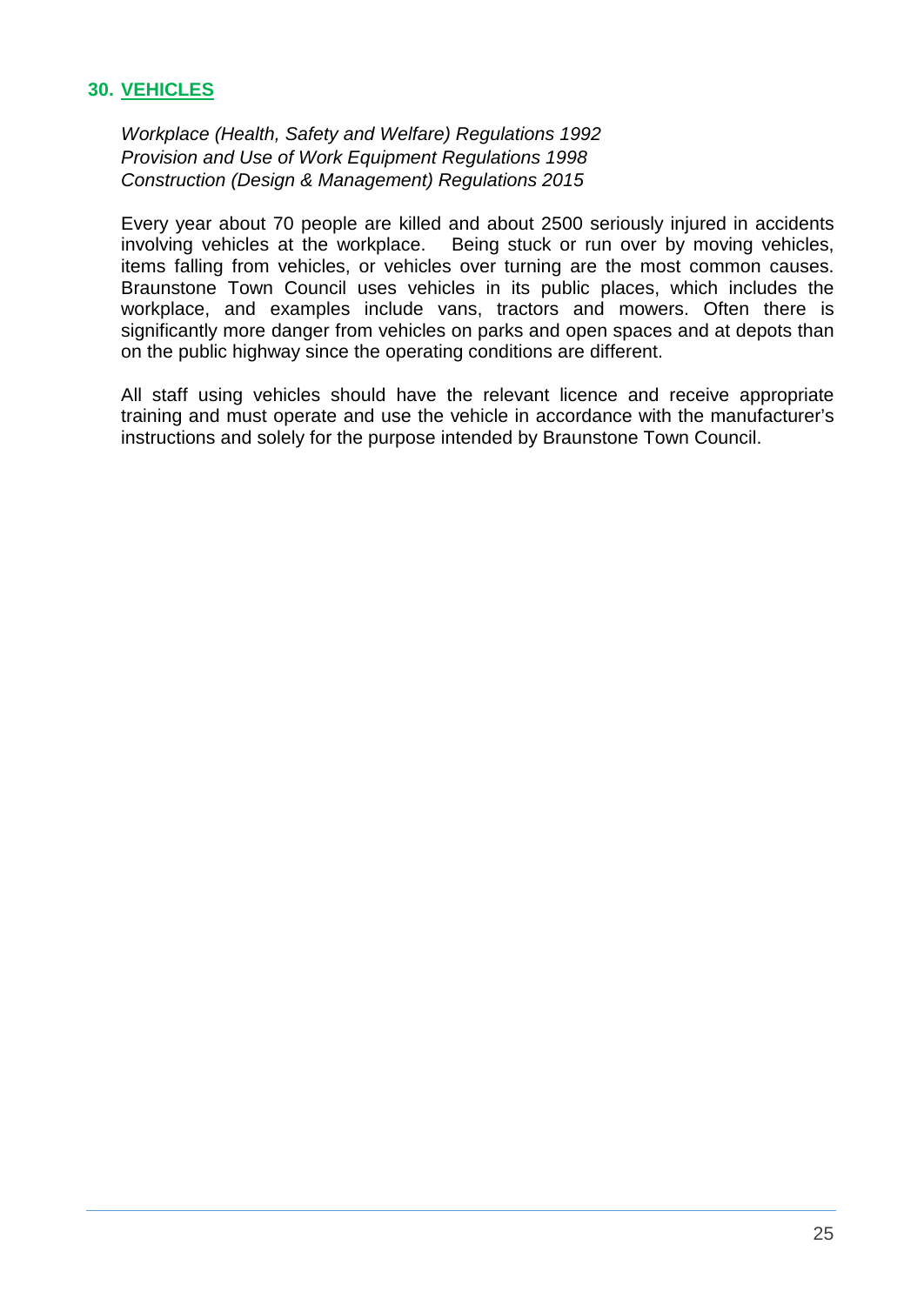## <span id="page-24-0"></span>**30. VEHICLES**

*Workplace (Health, Safety and Welfare) Regulations 1992 Provision and Use of Work Equipment Regulations 1998 Construction (Design & Management) Regulations 2015*

Every year about 70 people are killed and about 2500 seriously injured in accidents involving vehicles at the workplace. Being stuck or run over by moving vehicles, items falling from vehicles, or vehicles over turning are the most common causes. Braunstone Town Council uses vehicles in its public places, which includes the workplace, and examples include vans, tractors and mowers. Often there is significantly more danger from vehicles on parks and open spaces and at depots than on the public highway since the operating conditions are different.

All staff using vehicles should have the relevant licence and receive appropriate training and must operate and use the vehicle in accordance with the manufacturer's instructions and solely for the purpose intended by Braunstone Town Council.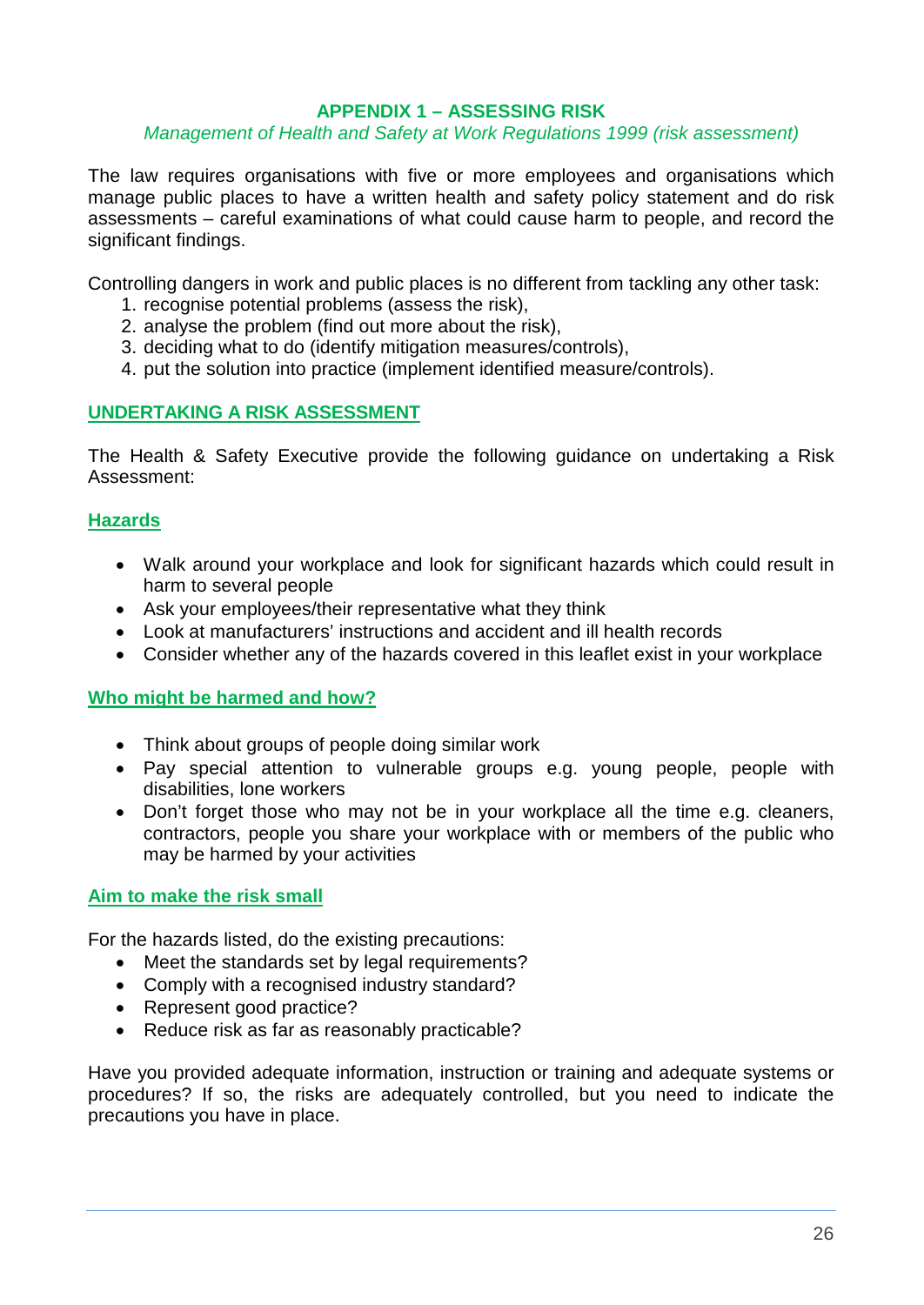#### **APPENDIX 1 – ASSESSING RISK**

#### *Management of Health and Safety at Work Regulations 1999 (risk assessment)*

The law requires organisations with five or more employees and organisations which manage public places to have a written health and safety policy statement and do risk assessments – careful examinations of what could cause harm to people, and record the significant findings.

Controlling dangers in work and public places is no different from tackling any other task:

- 1. recognise potential problems (assess the risk),
- 2. analyse the problem (find out more about the risk),
- 3. deciding what to do (identify mitigation measures/controls),
- 4. put the solution into practice (implement identified measure/controls).

## **UNDERTAKING A RISK ASSESSMENT**

The Health & Safety Executive provide the following guidance on undertaking a Risk Assessment:

## **Hazards**

- Walk around your workplace and look for significant hazards which could result in harm to several people
- Ask your employees/their representative what they think
- Look at manufacturers' instructions and accident and ill health records
- Consider whether any of the hazards covered in this leaflet exist in your workplace

#### **Who might be harmed and how?**

- Think about groups of people doing similar work
- Pay special attention to vulnerable groups e.g. young people, people with disabilities, lone workers
- Don't forget those who may not be in your workplace all the time e.g. cleaners, contractors, people you share your workplace with or members of the public who may be harmed by your activities

#### **Aim to make the risk small**

For the hazards listed, do the existing precautions:

- Meet the standards set by legal requirements?
- Comply with a recognised industry standard?
- Represent good practice?
- Reduce risk as far as reasonably practicable?

Have you provided adequate information, instruction or training and adequate systems or procedures? If so, the risks are adequately controlled, but you need to indicate the precautions you have in place.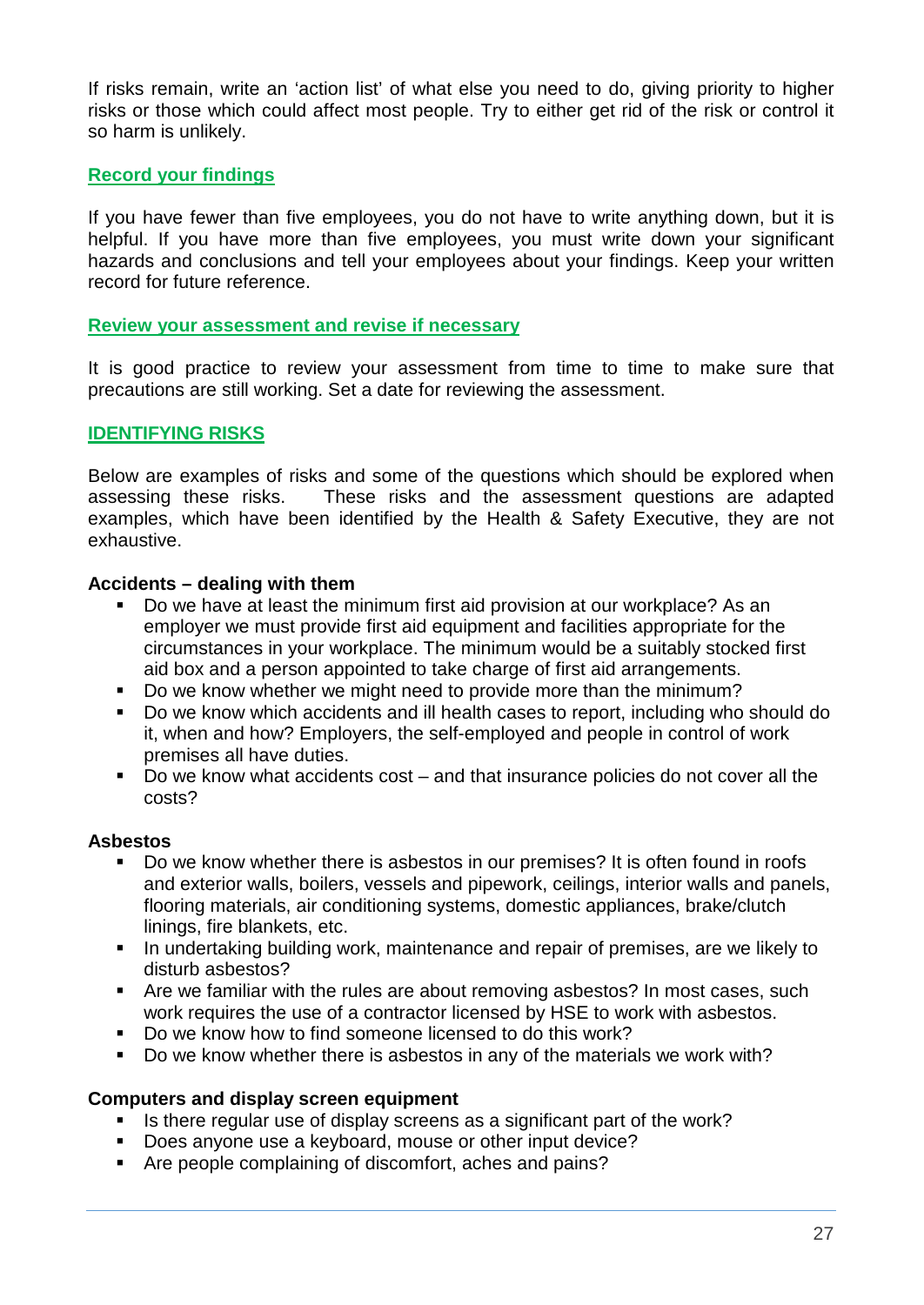If risks remain, write an 'action list' of what else you need to do, giving priority to higher risks or those which could affect most people. Try to either get rid of the risk or control it so harm is unlikely.

## **Record your findings**

If you have fewer than five employees, you do not have to write anything down, but it is helpful. If you have more than five employees, you must write down your significant hazards and conclusions and tell your employees about your findings. Keep your written record for future reference.

#### **Review your assessment and revise if necessary**

It is good practice to review your assessment from time to time to make sure that precautions are still working. Set a date for reviewing the assessment.

#### **IDENTIFYING RISKS**

Below are examples of risks and some of the questions which should be explored when assessing these risks. These risks and the assessment questions are adapted examples, which have been identified by the Health & Safety Executive, they are not exhaustive.

#### **Accidents – dealing with them**

- Do we have at least the minimum first aid provision at our workplace? As an employer we must provide first aid equipment and facilities appropriate for the circumstances in your workplace. The minimum would be a suitably stocked first aid box and a person appointed to take charge of first aid arrangements.
- Do we know whether we might need to provide more than the minimum?
- Do we know which accidents and ill health cases to report, including who should do it, when and how? Employers, the self-employed and people in control of work premises all have duties.
- Do we know what accidents cost and that insurance policies do not cover all the costs?

#### **Asbestos**

- Do we know whether there is asbestos in our premises? It is often found in roofs and exterior walls, boilers, vessels and pipework, ceilings, interior walls and panels, flooring materials, air conditioning systems, domestic appliances, brake/clutch linings, fire blankets, etc.
- **IF** In undertaking building work, maintenance and repair of premises, are we likely to disturb asbestos?
- **Are we familiar with the rules are about removing asbestos? In most cases, such** work requires the use of a contractor licensed by HSE to work with asbestos.
- Do we know how to find someone licensed to do this work?
- Do we know whether there is asbestos in any of the materials we work with?

#### **Computers and display screen equipment**

- Is there regular use of display screens as a significant part of the work?
- Does anyone use a keyboard, mouse or other input device?
- Are people complaining of discomfort, aches and pains?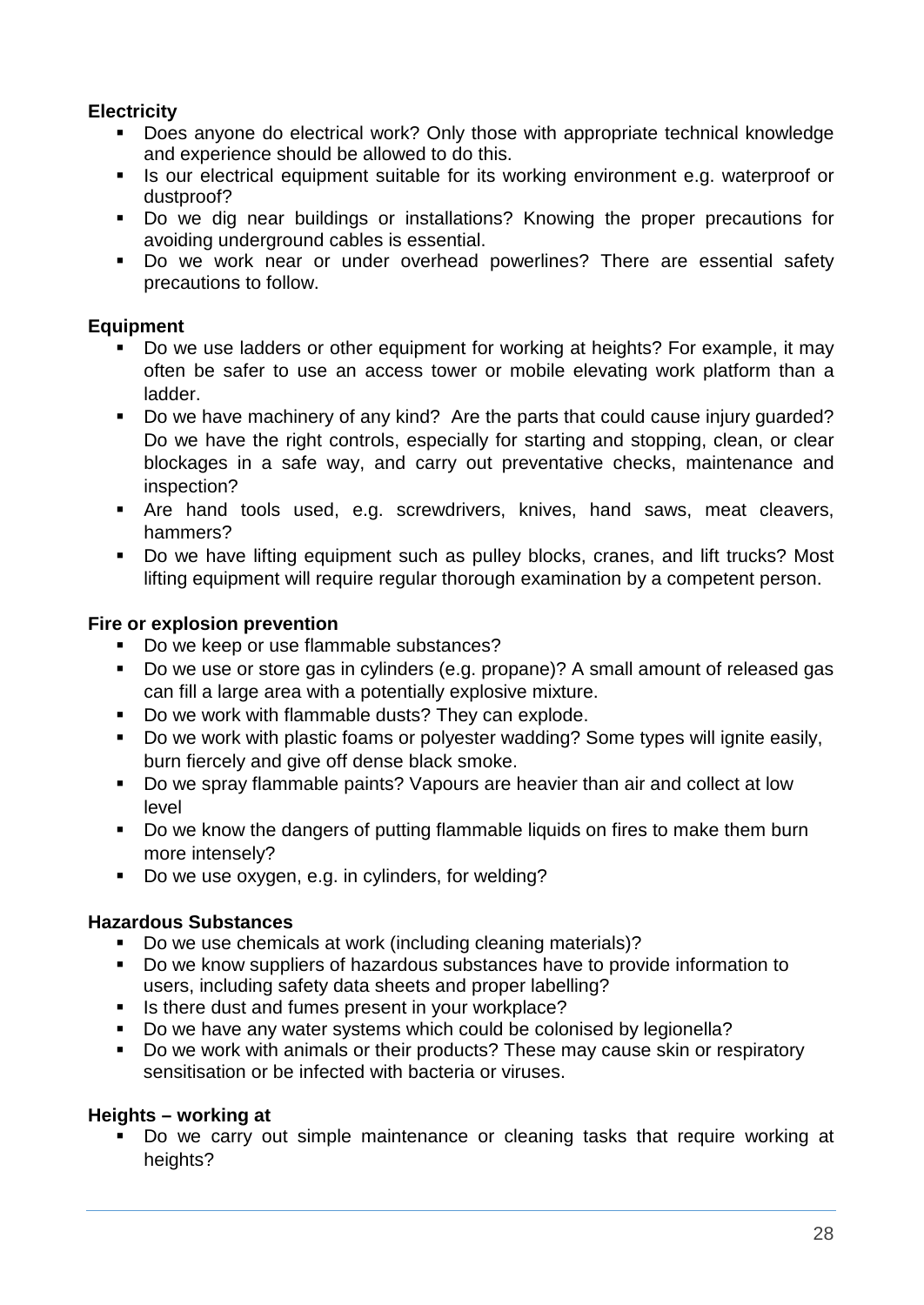## **Electricity**

- Does anyone do electrical work? Only those with appropriate technical knowledge and experience should be allowed to do this.
- If Is our electrical equipment suitable for its working environment e.g. waterproof or dustproof?
- Do we dig near buildings or installations? Knowing the proper precautions for avoiding underground cables is essential.
- Do we work near or under overhead powerlines? There are essential safety precautions to follow.

## **Equipment**

- Do we use ladders or other equipment for working at heights? For example, it may often be safer to use an access tower or mobile elevating work platform than a ladder.
- Do we have machinery of any kind? Are the parts that could cause injury guarded? Do we have the right controls, especially for starting and stopping, clean, or clear blockages in a safe way, and carry out preventative checks, maintenance and inspection?
- Are hand tools used, e.g. screwdrivers, knives, hand saws, meat cleavers, hammers?
- Do we have lifting equipment such as pulley blocks, cranes, and lift trucks? Most lifting equipment will require regular thorough examination by a competent person.

## **Fire or explosion prevention**

- Do we keep or use flammable substances?
- Do we use or store gas in cylinders (e.g. propane)? A small amount of released gas can fill a large area with a potentially explosive mixture.
- Do we work with flammable dusts? They can explode.
- Do we work with plastic foams or polyester wadding? Some types will ignite easily, burn fiercely and give off dense black smoke.
- Do we spray flammable paints? Vapours are heavier than air and collect at low level
- Do we know the dangers of putting flammable liquids on fires to make them burn more intensely?
- Do we use oxygen, e.g. in cylinders, for welding?

## **Hazardous Substances**

- Do we use chemicals at work (including cleaning materials)?
- Do we know suppliers of hazardous substances have to provide information to users, including safety data sheets and proper labelling?
- Is there dust and fumes present in your workplace?
- Do we have any water systems which could be colonised by legionella?
- Do we work with animals or their products? These may cause skin or respiratory sensitisation or be infected with bacteria or viruses.

## **Heights – working at**

 Do we carry out simple maintenance or cleaning tasks that require working at heights?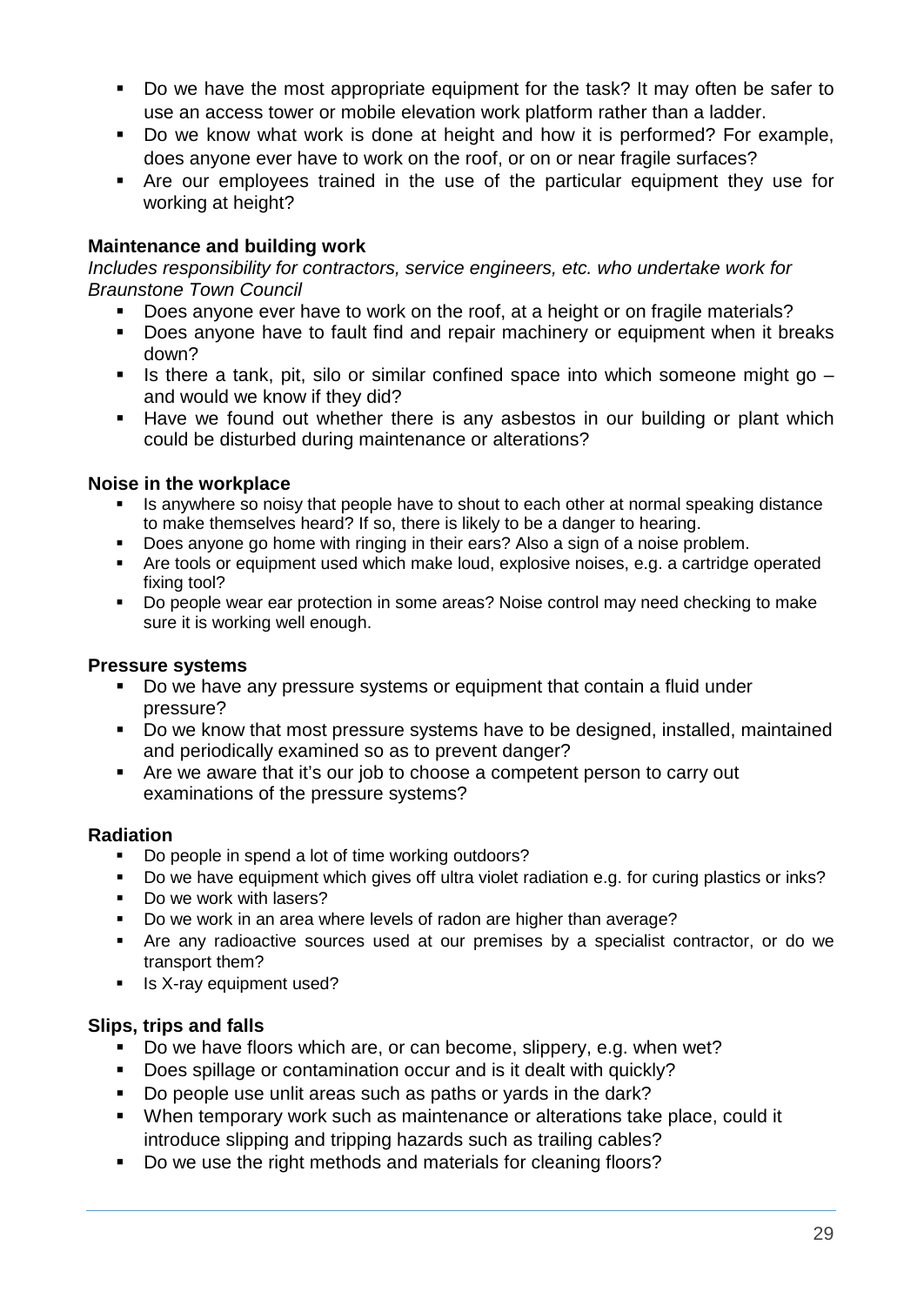- Do we have the most appropriate equipment for the task? It may often be safer to use an access tower or mobile elevation work platform rather than a ladder.
- Do we know what work is done at height and how it is performed? For example, does anyone ever have to work on the roof, or on or near fragile surfaces?
- Are our employees trained in the use of the particular equipment they use for working at height?

## **Maintenance and building work**

*Includes responsibility for contractors, service engineers, etc. who undertake work for Braunstone Town Council*

- Does anyone ever have to work on the roof, at a height or on fragile materials?
- **Does anyone have to fault find and repair machinery or equipment when it breaks** down?
- Is there a tank, pit, silo or similar confined space into which someone might go  $$ and would we know if they did?
- Have we found out whether there is any asbestos in our building or plant which could be disturbed during maintenance or alterations?

#### **Noise in the workplace**

- Is anywhere so noisy that people have to shout to each other at normal speaking distance to make themselves heard? If so, there is likely to be a danger to hearing.
- Does anyone go home with ringing in their ears? Also a sign of a noise problem.
- Are tools or equipment used which make loud, explosive noises, e.g. a cartridge operated fixing tool?
- Do people wear ear protection in some areas? Noise control may need checking to make sure it is working well enough.

#### **Pressure systems**

- Do we have any pressure systems or equipment that contain a fluid under pressure?
- Do we know that most pressure systems have to be designed, installed, maintained and periodically examined so as to prevent danger?
- Are we aware that it's our job to choose a competent person to carry out examinations of the pressure systems?

## **Radiation**

- Do people in spend a lot of time working outdoors?
- Do we have equipment which gives off ultra violet radiation e.g. for curing plastics or inks?
- Do we work with lasers?
- **Do we work in an area where levels of radon are higher than average?**
- Are any radioactive sources used at our premises by a specialist contractor, or do we transport them?
- **I** Is X-ray equipment used?

## **Slips, trips and falls**

- Do we have floors which are, or can become, slippery, e.g. when wet?
- Does spillage or contamination occur and is it dealt with quickly?
- Do people use unlit areas such as paths or yards in the dark?
- When temporary work such as maintenance or alterations take place, could it introduce slipping and tripping hazards such as trailing cables?
- Do we use the right methods and materials for cleaning floors?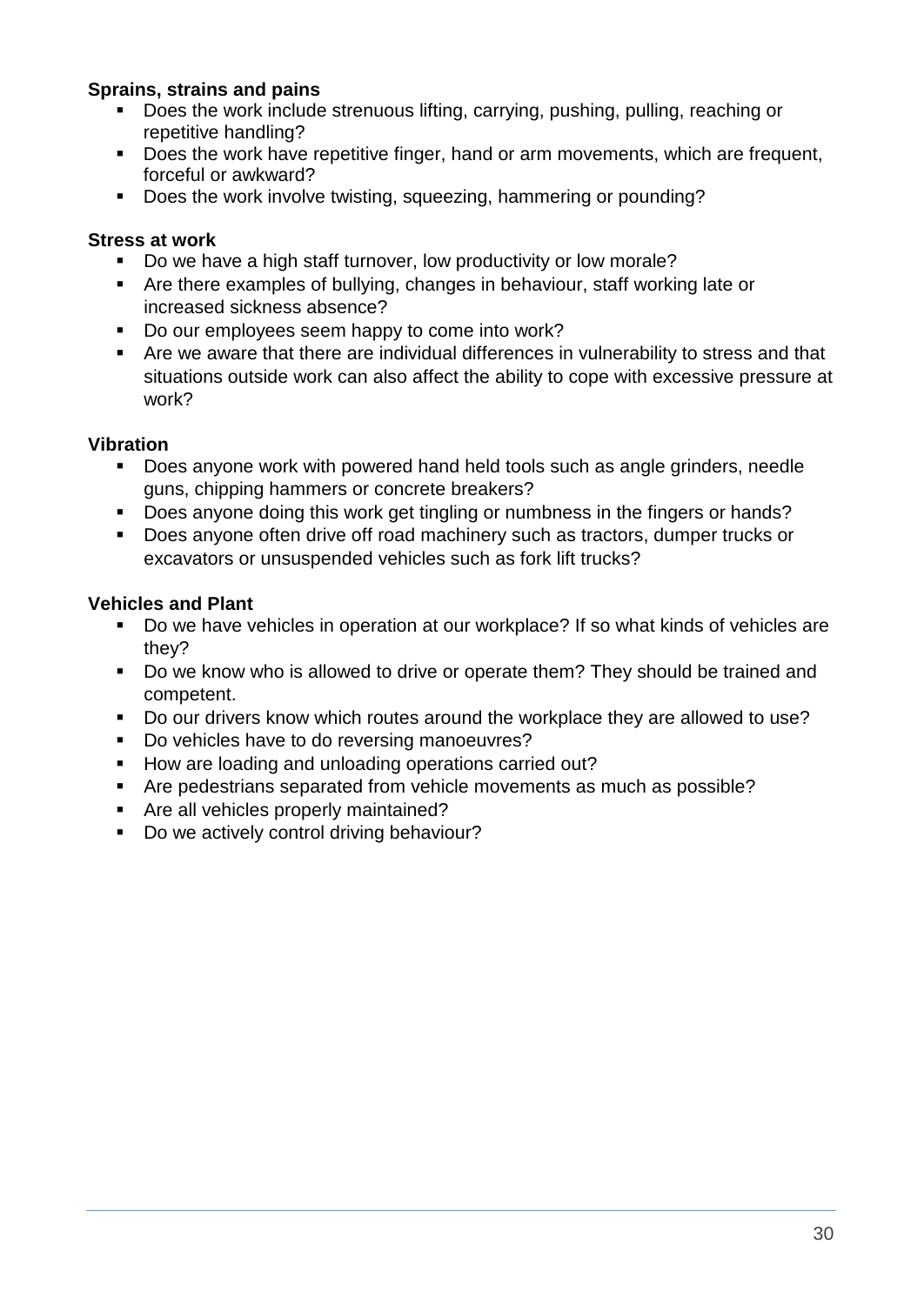## **Sprains, strains and pains**

- Does the work include strenuous lifting, carrying, pushing, pulling, reaching or repetitive handling?
- Does the work have repetitive finger, hand or arm movements, which are frequent, forceful or awkward?
- Does the work involve twisting, squeezing, hammering or pounding?

#### **Stress at work**

- Do we have a high staff turnover, low productivity or low morale?
- Are there examples of bullying, changes in behaviour, staff working late or increased sickness absence?
- Do our employees seem happy to come into work?
- Are we aware that there are individual differences in vulnerability to stress and that situations outside work can also affect the ability to cope with excessive pressure at work?

## **Vibration**

- Does anyone work with powered hand held tools such as angle grinders, needle guns, chipping hammers or concrete breakers?
- Does anyone doing this work get tingling or numbness in the fingers or hands?
- Does anyone often drive off road machinery such as tractors, dumper trucks or excavators or unsuspended vehicles such as fork lift trucks?

## **Vehicles and Plant**

- Do we have vehicles in operation at our workplace? If so what kinds of vehicles are they?
- Do we know who is allowed to drive or operate them? They should be trained and competent.
- Do our drivers know which routes around the workplace they are allowed to use?
- Do vehicles have to do reversing manoeuvres?
- How are loading and unloading operations carried out?
- Are pedestrians separated from vehicle movements as much as possible?
- **Are all vehicles properly maintained?**
- Do we actively control driving behaviour?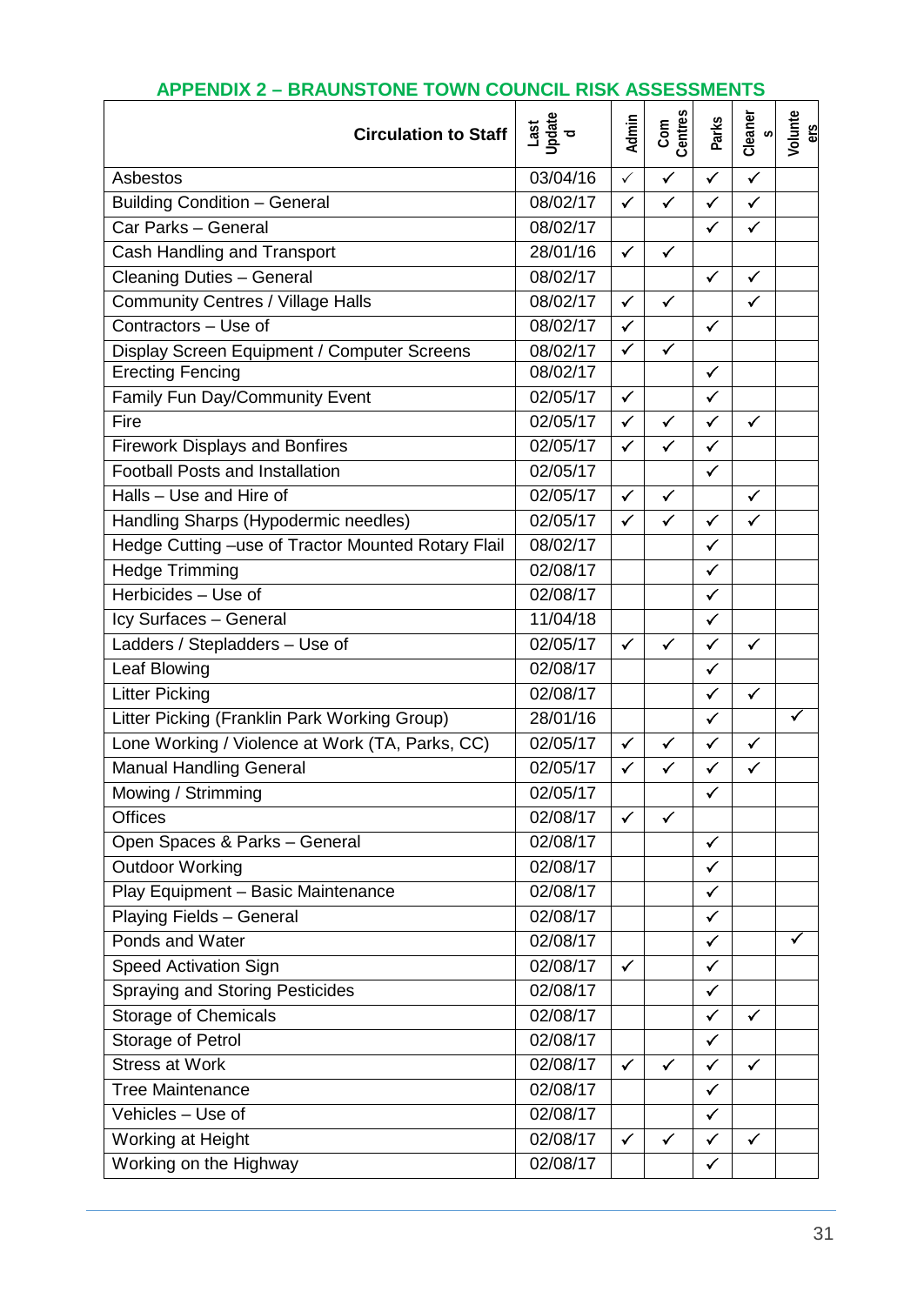| <b>Circulation to Staff</b>                        | $\begin{array}{c}\n\text{Last} \\ \text{Update} \\ \text{I} \\ \text{d}\n\end{array}$ | Admin        | Com<br>Centres | Parks        | Cleaner<br>$\mathfrak o$ | Volunte<br>ers       |
|----------------------------------------------------|---------------------------------------------------------------------------------------|--------------|----------------|--------------|--------------------------|----------------------|
| Asbestos                                           | 03/04/16                                                                              | $\checkmark$ | $\checkmark$   | $\checkmark$ | $\checkmark$             |                      |
| <b>Building Condition - General</b>                | $\frac{08}{02/17}$                                                                    | $\checkmark$ | $\checkmark$   | $\checkmark$ | $\checkmark$             |                      |
| Car Parks - General                                | 08/02/17                                                                              |              |                | $\checkmark$ | $\checkmark$             |                      |
| Cash Handling and Transport                        | 28/01/16                                                                              | $\checkmark$ | $\checkmark$   |              |                          |                      |
| <b>Cleaning Duties - General</b>                   | 08/02/17                                                                              |              |                | $\checkmark$ | $\checkmark$             |                      |
| <b>Community Centres / Village Halls</b>           | 08/02/17                                                                              | $\checkmark$ | ✓              |              | $\checkmark$             |                      |
| Contractors - Use of                               | 08/02/17                                                                              | $\checkmark$ |                | $\checkmark$ |                          |                      |
| Display Screen Equipment / Computer Screens        | 08/02/17                                                                              | $\checkmark$ | $\checkmark$   |              |                          |                      |
| <b>Erecting Fencing</b>                            | 08/02/17                                                                              |              |                | $\checkmark$ |                          |                      |
| Family Fun Day/Community Event                     | 02/05/17                                                                              | $\checkmark$ |                | $\checkmark$ |                          |                      |
| Fire                                               | 02/05/17                                                                              | $\checkmark$ | $\checkmark$   | $\checkmark$ | $\checkmark$             |                      |
| <b>Firework Displays and Bonfires</b>              | 02/05/17                                                                              | $\checkmark$ | $\checkmark$   | $\checkmark$ |                          |                      |
| <b>Football Posts and Installation</b>             | 02/05/17                                                                              |              |                | $\checkmark$ |                          |                      |
| Halls - Use and Hire of                            | 02/05/17                                                                              | $\checkmark$ | $\checkmark$   |              | $\checkmark$             |                      |
| Handling Sharps (Hypodermic needles)               | 02/05/17                                                                              | $\checkmark$ | $\checkmark$   | $\checkmark$ | $\checkmark$             |                      |
| Hedge Cutting -use of Tractor Mounted Rotary Flail | 08/02/17                                                                              |              |                | $\checkmark$ |                          |                      |
| Hedge Trimming                                     | 02/08/17                                                                              |              |                | $\checkmark$ |                          |                      |
| Herbicides - Use of                                | 02/08/17                                                                              |              |                | ✓            |                          |                      |
| Icy Surfaces - General                             | 11/04/18                                                                              |              |                | ✓            |                          |                      |
| Ladders / Stepladders - Use of                     | 02/05/17                                                                              | $\checkmark$ | $\checkmark$   | $\checkmark$ | $\checkmark$             |                      |
| Leaf Blowing                                       | 02/08/17                                                                              |              |                | $\checkmark$ |                          |                      |
| <b>Litter Picking</b>                              | 02/08/17                                                                              |              |                | $\checkmark$ | $\checkmark$             |                      |
| Litter Picking (Franklin Park Working Group)       | 28/01/16                                                                              |              |                | $\checkmark$ |                          | $\blacktriangledown$ |
| Lone Working / Violence at Work (TA, Parks, CC)    | 02/05/17                                                                              | $\checkmark$ | $\checkmark$   | ✓            | $\checkmark$             |                      |
| Manual Handling General                            | 02/05/17                                                                              | $\checkmark$ | ✓              | ✓            | ✓                        |                      |
| Mowing / Strimming                                 | 02/05/17                                                                              |              |                | $\checkmark$ |                          |                      |
| <b>Offices</b>                                     | 02/08/17                                                                              | $\checkmark$ | $\checkmark$   |              |                          |                      |
| Open Spaces & Parks - General                      | 02/08/17                                                                              |              |                | $\checkmark$ |                          |                      |
| <b>Outdoor Working</b>                             | 02/08/17                                                                              |              |                | $\checkmark$ |                          |                      |
| Play Equipment - Basic Maintenance                 | 02/08/17                                                                              |              |                | $\checkmark$ |                          |                      |
| Playing Fields - General                           | 02/08/17                                                                              |              |                | $\checkmark$ |                          |                      |
| Ponds and Water                                    | 02/08/17                                                                              |              |                | $\checkmark$ |                          | $\checkmark$         |
| <b>Speed Activation Sign</b>                       | 02/08/17                                                                              | $\checkmark$ |                | $\checkmark$ |                          |                      |
| <b>Spraying and Storing Pesticides</b>             | 02/08/17                                                                              |              |                | $\checkmark$ |                          |                      |
| <b>Storage of Chemicals</b>                        | 02/08/17                                                                              |              |                | $\checkmark$ | $\checkmark$             |                      |
| Storage of Petrol                                  | $\frac{1}{02}/08/17$                                                                  |              |                | $\checkmark$ |                          |                      |
| <b>Stress at Work</b>                              | 02/08/17                                                                              | $\checkmark$ | $\checkmark$   | $\checkmark$ | $\checkmark$             |                      |
| <b>Tree Maintenance</b>                            | 02/08/17                                                                              |              |                | $\checkmark$ |                          |                      |
| Vehicles - Use of                                  | 02/08/17                                                                              |              |                | $\checkmark$ |                          |                      |
| Working at Height                                  | 02/08/17                                                                              | $\checkmark$ | $\checkmark$   | ✓            | $\checkmark$             |                      |
| Working on the Highway                             | 02/08/17                                                                              |              |                | $\checkmark$ |                          |                      |

# **APPENDIX 2 – BRAUNSTONE TOWN COUNCIL RISK ASSESSMENTS**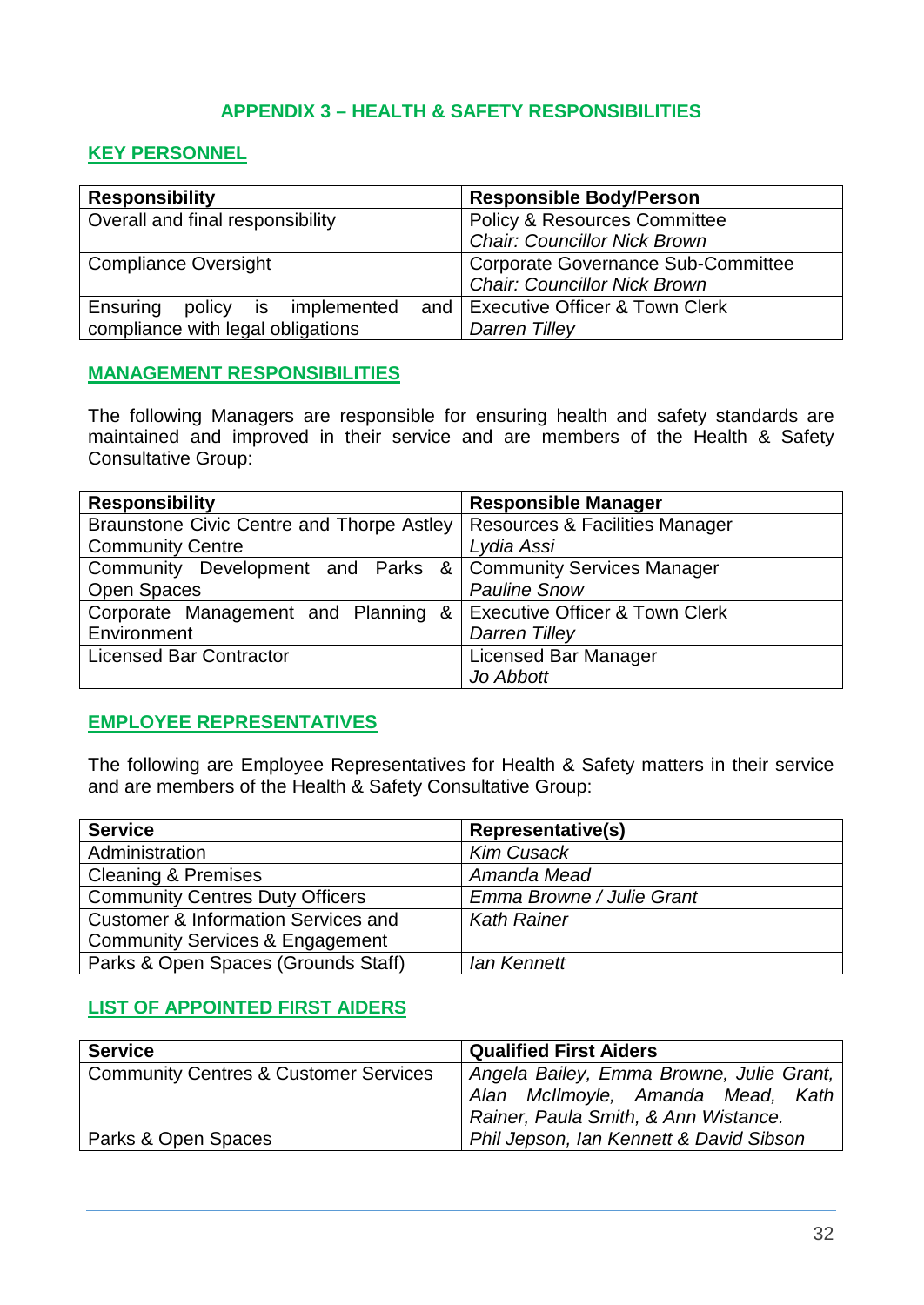## **APPENDIX 3 – HEALTH & SAFETY RESPONSIBILITIES**

## **KEY PERSONNEL**

| <b>Responsibility</b>             | <b>Responsible Body/Person</b>            |  |  |
|-----------------------------------|-------------------------------------------|--|--|
| Overall and final responsibility  | <b>Policy &amp; Resources Committee</b>   |  |  |
|                                   | <b>Chair: Councillor Nick Brown</b>       |  |  |
| <b>Compliance Oversight</b>       | <b>Corporate Governance Sub-Committee</b> |  |  |
|                                   | <b>Chair: Councillor Nick Brown</b>       |  |  |
| Ensuring<br>policy is implemented | and   Executive Officer & Town Clerk      |  |  |
| compliance with legal obligations | Darren Tilley                             |  |  |

## **MANAGEMENT RESPONSIBILITIES**

The following Managers are responsible for ensuring health and safety standards are maintained and improved in their service and are members of the Health & Safety Consultative Group:

| <b>Responsibility</b>                                        | <b>Responsible Manager</b>                |  |
|--------------------------------------------------------------|-------------------------------------------|--|
| Braunstone Civic Centre and Thorpe Astley                    | <b>Resources &amp; Facilities Manager</b> |  |
| <b>Community Centre</b>                                      | Lydia Assi                                |  |
| Community Development and Parks & Community Services Manager |                                           |  |
| <b>Open Spaces</b>                                           | <b>Pauline Snow</b>                       |  |
| Corporate Management and Planning                            | & Executive Officer & Town Clerk          |  |
| Environment                                                  | <b>Darren Tilley</b>                      |  |
| <b>Licensed Bar Contractor</b>                               | Licensed Bar Manager                      |  |
|                                                              | Jo Abbott                                 |  |

## **EMPLOYEE REPRESENTATIVES**

The following are Employee Representatives for Health & Safety matters in their service and are members of the Health & Safety Consultative Group:

| <b>Service</b>                                 | <b>Representative(s)</b>  |  |
|------------------------------------------------|---------------------------|--|
| Administration                                 | <b>Kim Cusack</b>         |  |
| <b>Cleaning &amp; Premises</b>                 | Amanda Mead               |  |
| <b>Community Centres Duty Officers</b>         | Emma Browne / Julie Grant |  |
| <b>Customer &amp; Information Services and</b> | <b>Kath Rainer</b>        |  |
| <b>Community Services &amp; Engagement</b>     |                           |  |
| Parks & Open Spaces (Grounds Staff)            | lan Kennett               |  |

## **LIST OF APPOINTED FIRST AIDERS**

| <b>Service</b>                                   | <b>Qualified First Aiders</b>                                                                                         |
|--------------------------------------------------|-----------------------------------------------------------------------------------------------------------------------|
| <b>Community Centres &amp; Customer Services</b> | Angela Bailey, Emma Browne, Julie Grant,<br>Alan McIlmoyle, Amanda Mead, Kath<br>Rainer, Paula Smith, & Ann Wistance. |
| Parks & Open Spaces                              | Phil Jepson, Ian Kennett & David Sibson                                                                               |